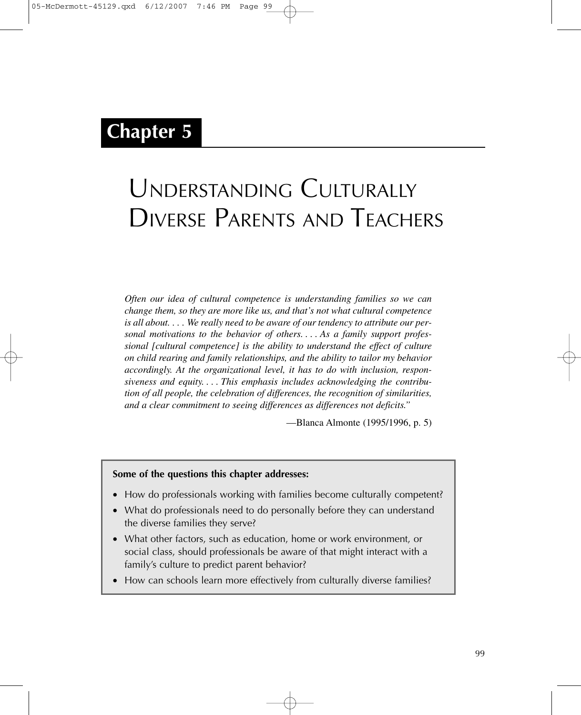# **Chapter 5**

# UNDERSTANDING CULTURALLY DIVERSE PARENTS AND TEACHERS

*Often our idea of cultural competence is understanding families so we can change them, so they are more like us, and that's not what cultural competence is all about. . . . We really need to be aware of our tendency to attribute our personal motivations to the behavior of others. . . . As a family support professional [cultural competence] is the ability to understand the effect of culture on child rearing and family relationships, and the ability to tailor my behavior accordingly. At the organizational level, it has to do with inclusion, responsiveness and equity....This emphasis includes acknowledging the contribution of all people, the celebration of differences, the recognition of similarities, and a clear commitment to seeing differences as differences not deficits."*

—Blanca Almonte (1995/1996, p. 5)

## **Some of the questions this chapter addresses:**

- How do professionals working with families become culturally competent?
- What do professionals need to do personally before they can understand the diverse families they serve?
- What other factors, such as education, home or work environment, or social class, should professionals be aware of that might interact with a family's culture to predict parent behavior?
- How can schools learn more effectively from culturally diverse families?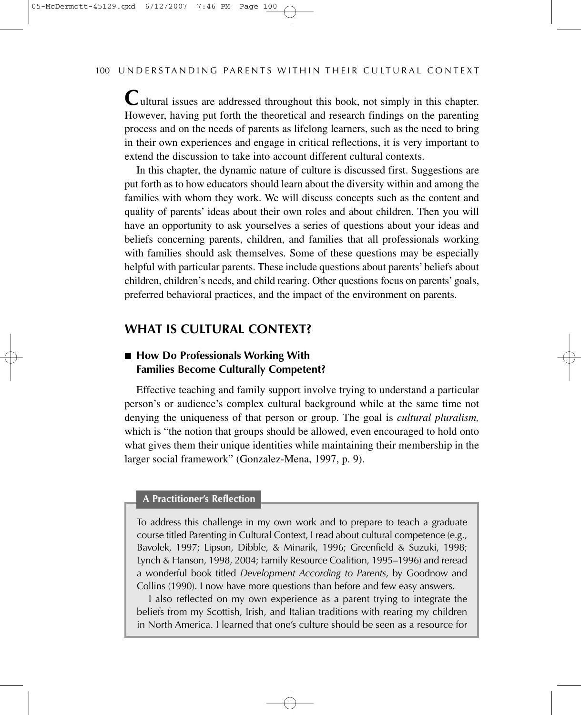**C**ultural issues are addressed throughout this book, not simply in this chapter. However, having put forth the theoretical and research findings on the parenting process and on the needs of parents as lifelong learners, such as the need to bring in their own experiences and engage in critical reflections, it is very important to extend the discussion to take into account different cultural contexts.

In this chapter, the dynamic nature of culture is discussed first. Suggestions are put forth as to how educators should learn about the diversity within and among the families with whom they work. We will discuss concepts such as the content and quality of parents' ideas about their own roles and about children. Then you will have an opportunity to ask yourselves a series of questions about your ideas and beliefs concerning parents, children, and families that all professionals working with families should ask themselves. Some of these questions may be especially helpful with particular parents. These include questions about parents' beliefs about children, children's needs, and child rearing. Other questions focus on parents' goals, preferred behavioral practices, and the impact of the environment on parents.

## **WHAT IS CULTURAL CONTEXT?**

# ■ **How Do Professionals Working With Families Become Culturally Competent?**

Effective teaching and family support involve trying to understand a particular person's or audience's complex cultural background while at the same time not denying the uniqueness of that person or group. The goal is *cultural pluralism,* which is "the notion that groups should be allowed, even encouraged to hold onto what gives them their unique identities while maintaining their membership in the larger social framework" (Gonzalez-Mena, 1997, p. 9).

#### **A Practitioner's Reflection**

To address this challenge in my own work and to prepare to teach a graduate course titled Parenting in Cultural Context, I read about cultural competence (e.g., Bavolek, 1997; Lipson, Dibble, & Minarik, 1996; Greenfield & Suzuki, 1998; Lynch & Hanson, 1998, 2004; Family Resource Coalition, 1995–1996) and reread a wonderful book titled *Development According to Parents,* by Goodnow and Collins (1990). I now have more questions than before and few easy answers.

I also reflected on my own experience as a parent trying to integrate the beliefs from my Scottish, Irish, and Italian traditions with rearing my children in North America. I learned that one's culture should be seen as a resource for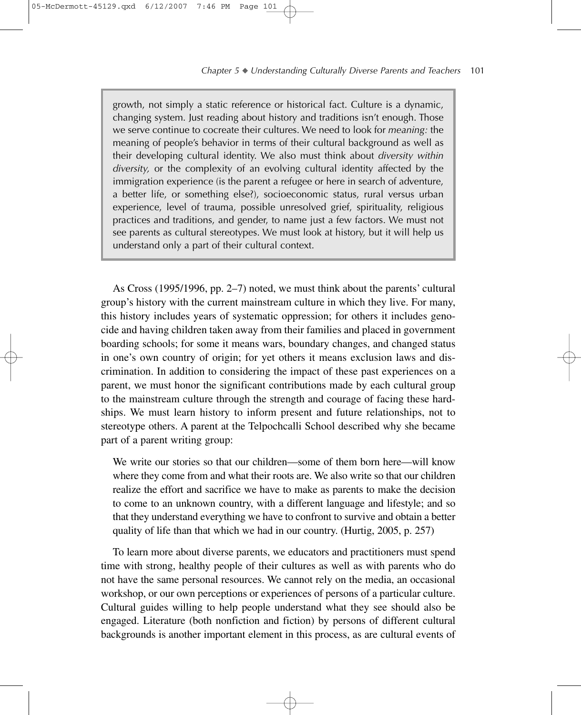growth, not simply a static reference or historical fact. Culture is a dynamic, changing system. Just reading about history and traditions isn't enough. Those we serve continue to cocreate their cultures. We need to look for *meaning:* the meaning of people's behavior in terms of their cultural background as well as their developing cultural identity. We also must think about *diversity within diversity,* or the complexity of an evolving cultural identity affected by the immigration experience (is the parent a refugee or here in search of adventure, a better life, or something else?), socioeconomic status, rural versus urban experience, level of trauma, possible unresolved grief, spirituality, religious practices and traditions, and gender, to name just a few factors. We must not see parents as cultural stereotypes. We must look at history, but it will help us understand only a part of their cultural context.

As Cross (1995/1996, pp. 2–7) noted, we must think about the parents' cultural group's history with the current mainstream culture in which they live. For many, this history includes years of systematic oppression; for others it includes genocide and having children taken away from their families and placed in government boarding schools; for some it means wars, boundary changes, and changed status in one's own country of origin; for yet others it means exclusion laws and discrimination. In addition to considering the impact of these past experiences on a parent, we must honor the significant contributions made by each cultural group to the mainstream culture through the strength and courage of facing these hardships. We must learn history to inform present and future relationships, not to stereotype others. A parent at the Telpochcalli School described why she became part of a parent writing group:

We write our stories so that our children—some of them born here—will know where they come from and what their roots are. We also write so that our children realize the effort and sacrifice we have to make as parents to make the decision to come to an unknown country, with a different language and lifestyle; and so that they understand everything we have to confront to survive and obtain a better quality of life than that which we had in our country. (Hurtig, 2005, p. 257)

To learn more about diverse parents, we educators and practitioners must spend time with strong, healthy people of their cultures as well as with parents who do not have the same personal resources. We cannot rely on the media, an occasional workshop, or our own perceptions or experiences of persons of a particular culture. Cultural guides willing to help people understand what they see should also be engaged. Literature (both nonfiction and fiction) by persons of different cultural backgrounds is another important element in this process, as are cultural events of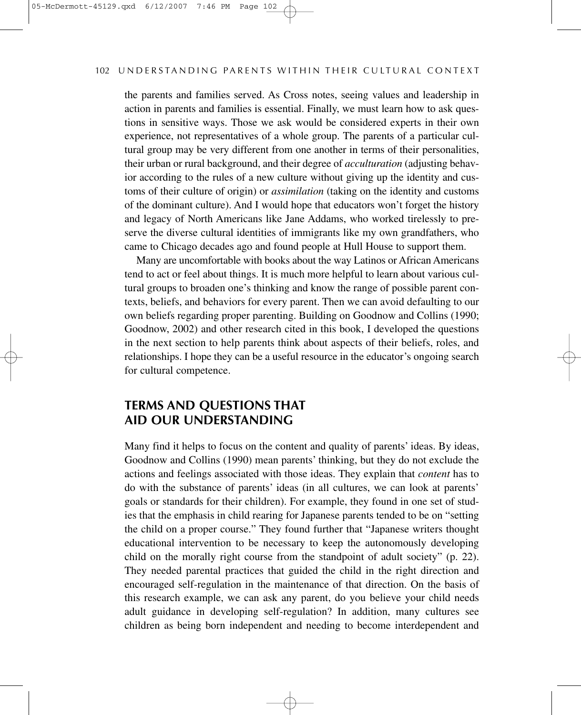the parents and families served. As Cross notes, seeing values and leadership in action in parents and families is essential. Finally, we must learn how to ask questions in sensitive ways. Those we ask would be considered experts in their own experience, not representatives of a whole group. The parents of a particular cultural group may be very different from one another in terms of their personalities, their urban or rural background, and their degree of *acculturation* (adjusting behavior according to the rules of a new culture without giving up the identity and customs of their culture of origin) or *assimilation* (taking on the identity and customs of the dominant culture). And I would hope that educators won't forget the history and legacy of North Americans like Jane Addams, who worked tirelessly to preserve the diverse cultural identities of immigrants like my own grandfathers, who came to Chicago decades ago and found people at Hull House to support them.

Many are uncomfortable with books about the way Latinos or African Americans tend to act or feel about things. It is much more helpful to learn about various cultural groups to broaden one's thinking and know the range of possible parent contexts, beliefs, and behaviors for every parent. Then we can avoid defaulting to our own beliefs regarding proper parenting. Building on Goodnow and Collins (1990; Goodnow, 2002) and other research cited in this book, I developed the questions in the next section to help parents think about aspects of their beliefs, roles, and relationships. I hope they can be a useful resource in the educator's ongoing search for cultural competence.

# **TERMS AND QUESTIONS THAT AID OUR UNDERSTANDING**

Many find it helps to focus on the content and quality of parents' ideas. By ideas, Goodnow and Collins (1990) mean parents' thinking, but they do not exclude the actions and feelings associated with those ideas. They explain that *content* has to do with the substance of parents' ideas (in all cultures, we can look at parents' goals or standards for their children). For example, they found in one set of studies that the emphasis in child rearing for Japanese parents tended to be on "setting the child on a proper course." They found further that "Japanese writers thought educational intervention to be necessary to keep the autonomously developing child on the morally right course from the standpoint of adult society" (p. 22). They needed parental practices that guided the child in the right direction and encouraged self-regulation in the maintenance of that direction. On the basis of this research example, we can ask any parent, do you believe your child needs adult guidance in developing self-regulation? In addition, many cultures see children as being born independent and needing to become interdependent and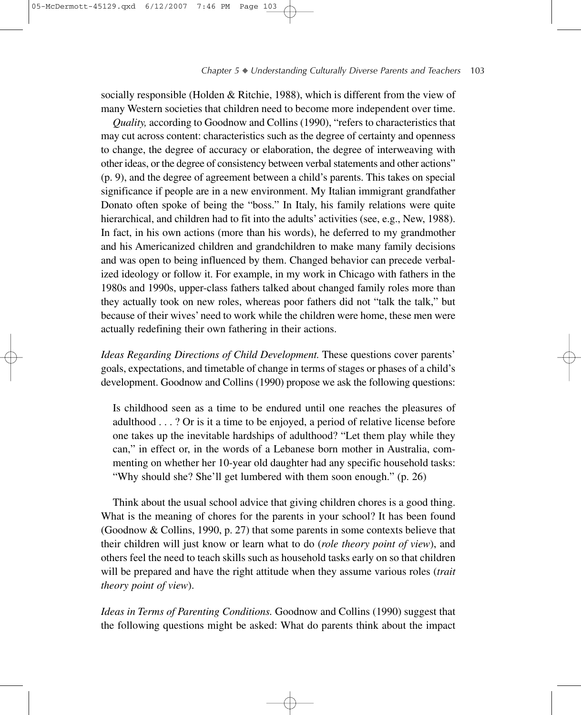socially responsible (Holden & Ritchie, 1988), which is different from the view of many Western societies that children need to become more independent over time.

*Quality, according to Goodnow and Collins (1990), "refers to characteristics that* may cut across content: characteristics such as the degree of certainty and openness to change, the degree of accuracy or elaboration, the degree of interweaving with other ideas, or the degree of consistency between verbal statements and other actions" (p. 9), and the degree of agreement between a child's parents. This takes on special significance if people are in a new environment. My Italian immigrant grandfather Donato often spoke of being the "boss." In Italy, his family relations were quite hierarchical, and children had to fit into the adults' activities (see, e.g., New, 1988). In fact, in his own actions (more than his words), he deferred to my grandmother and his Americanized children and grandchildren to make many family decisions and was open to being influenced by them. Changed behavior can precede verbalized ideology or follow it. For example, in my work in Chicago with fathers in the 1980s and 1990s, upper-class fathers talked about changed family roles more than they actually took on new roles, whereas poor fathers did not "talk the talk," but because of their wives' need to work while the children were home, these men were actually redefining their own fathering in their actions.

*Ideas Regarding Directions of Child Development.* These questions cover parents' goals, expectations, and timetable of change in terms of stages or phases of a child's development. Goodnow and Collins (1990) propose we ask the following questions:

Is childhood seen as a time to be endured until one reaches the pleasures of adulthood . . . ? Or is it a time to be enjoyed, a period of relative license before one takes up the inevitable hardships of adulthood? "Let them play while they can," in effect or, in the words of a Lebanese born mother in Australia, commenting on whether her 10-year old daughter had any specific household tasks: "Why should she? She'll get lumbered with them soon enough." (p. 26)

Think about the usual school advice that giving children chores is a good thing. What is the meaning of chores for the parents in your school? It has been found (Goodnow & Collins, 1990, p. 27) that some parents in some contexts believe that their children will just know or learn what to do (*role theory point of view*), and others feel the need to teach skills such as household tasks early on so that children will be prepared and have the right attitude when they assume various roles (*trait theory point of view*).

*Ideas in Terms of Parenting Conditions.* Goodnow and Collins (1990) suggest that the following questions might be asked: What do parents think about the impact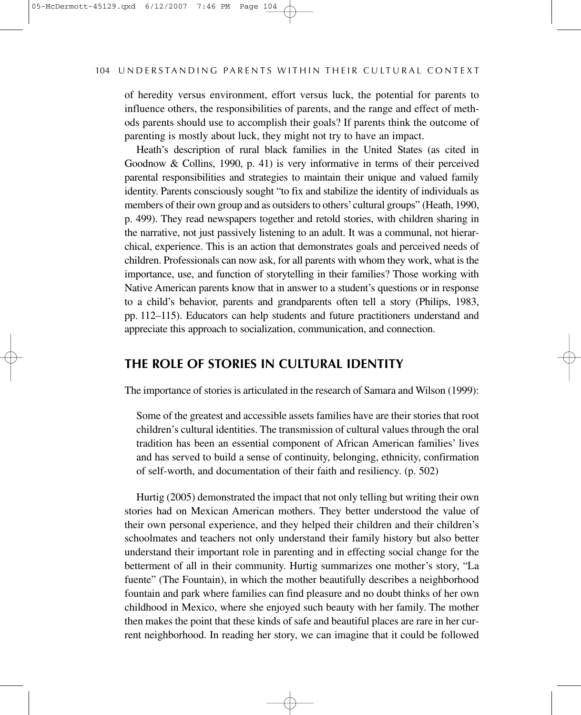of heredity versus environment, effort versus luck, the potential for parents to influence others, the responsibilities of parents, and the range and effect of methods parents should use to accomplish their goals? If parents think the outcome of parenting is mostly about luck, they might not try to have an impact.

Heath's description of rural black families in the United States (as cited in Goodnow & Collins, 1990, p. 41) is very informative in terms of their perceived parental responsibilities and strategies to maintain their unique and valued family identity. Parents consciously sought "to fix and stabilize the identity of individuals as members of their own group and as outsiders to others'cultural groups" (Heath, 1990, p. 499). They read newspapers together and retold stories, with children sharing in the narrative, not just passively listening to an adult. It was a communal, not hierarchical, experience. This is an action that demonstrates goals and perceived needs of children. Professionals can now ask, for all parents with whom they work, what is the importance, use, and function of storytelling in their families? Those working with Native American parents know that in answer to a student's questions or in response to a child's behavior, parents and grandparents often tell a story (Philips, 1983, pp. 112–115). Educators can help students and future practitioners understand and appreciate this approach to socialization, communication, and connection.

# **THE ROLE OF STORIES IN CULTURAL IDENTITY**

The importance of stories is articulated in the research of Samara and Wilson (1999):

Some of the greatest and accessible assets families have are their stories that root children's cultural identities. The transmission of cultural values through the oral tradition has been an essential component of African American families' lives and has served to build a sense of continuity, belonging, ethnicity, confirmation of self-worth, and documentation of their faith and resiliency. (p. 502)

Hurtig (2005) demonstrated the impact that not only telling but writing their own stories had on Mexican American mothers. They better understood the value of their own personal experience, and they helped their children and their children's schoolmates and teachers not only understand their family history but also better understand their important role in parenting and in effecting social change for the betterment of all in their community. Hurtig summarizes one mother's story, "La fuente" (The Fountain), in which the mother beautifully describes a neighborhood fountain and park where families can find pleasure and no doubt thinks of her own childhood in Mexico, where she enjoyed such beauty with her family. The mother then makes the point that these kinds of safe and beautiful places are rare in her current neighborhood. In reading her story, we can imagine that it could be followed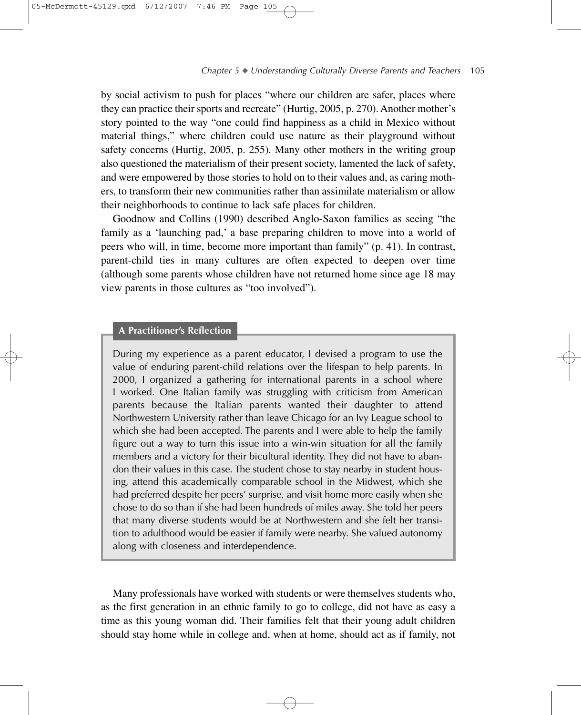by social activism to push for places "where our children are safer, places where they can practice their sports and recreate" (Hurtig, 2005, p. 270). Another mother's story pointed to the way "one could find happiness as a child in Mexico without material things," where children could use nature as their playground without safety concerns (Hurtig, 2005, p. 255). Many other mothers in the writing group also questioned the materialism of their present society, lamented the lack of safety, and were empowered by those stories to hold on to their values and, as caring mothers, to transform their new communities rather than assimilate materialism or allow their neighborhoods to continue to lack safe places for children.

Goodnow and Collins (1990) described Anglo-Saxon families as seeing "the family as a 'launching pad,' a base preparing children to move into a world of peers who will, in time, become more important than family" (p. 41). In contrast, parent-child ties in many cultures are often expected to deepen over time (although some parents whose children have not returned home since age 18 may view parents in those cultures as "too involved").

#### **A Practitioner's Reflection**

During my experience as a parent educator, I devised a program to use the value of enduring parent-child relations over the lifespan to help parents. In 2000, I organized a gathering for international parents in a school where I worked. One Italian family was struggling with criticism from American parents because the Italian parents wanted their daughter to attend Northwestern University rather than leave Chicago for an Ivy League school to which she had been accepted. The parents and I were able to help the family figure out a way to turn this issue into a win-win situation for all the family members and a victory for their bicultural identity. They did not have to abandon their values in this case. The student chose to stay nearby in student housing, attend this academically comparable school in the Midwest, which she had preferred despite her peers' surprise, and visit home more easily when she chose to do so than if she had been hundreds of miles away. She told her peers that many diverse students would be at Northwestern and she felt her transition to adulthood would be easier if family were nearby. She valued autonomy along with closeness and interdependence.

Many professionals have worked with students or were themselves students who, as the first generation in an ethnic family to go to college, did not have as easy a time as this young woman did. Their families felt that their young adult children should stay home while in college and, when at home, should act as if family, not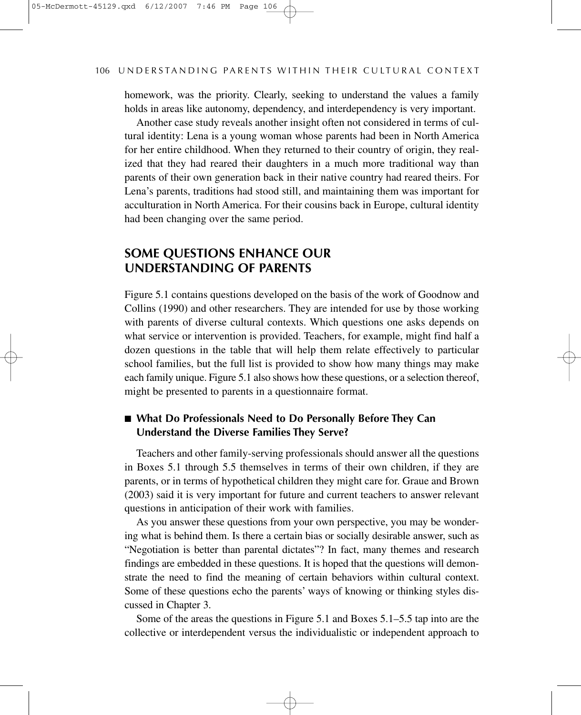homework, was the priority. Clearly, seeking to understand the values a family holds in areas like autonomy, dependency, and interdependency is very important.

Another case study reveals another insight often not considered in terms of cultural identity: Lena is a young woman whose parents had been in North America for her entire childhood. When they returned to their country of origin, they realized that they had reared their daughters in a much more traditional way than parents of their own generation back in their native country had reared theirs. For Lena's parents, traditions had stood still, and maintaining them was important for acculturation in North America. For their cousins back in Europe, cultural identity had been changing over the same period.

# **SOME QUESTIONS ENHANCE OUR UNDERSTANDING OF PARENTS**

Figure 5.1 contains questions developed on the basis of the work of Goodnow and Collins (1990) and other researchers. They are intended for use by those working with parents of diverse cultural contexts. Which questions one asks depends on what service or intervention is provided. Teachers, for example, might find half a dozen questions in the table that will help them relate effectively to particular school families, but the full list is provided to show how many things may make each family unique. Figure 5.1 also shows how these questions, or a selection thereof, might be presented to parents in a questionnaire format.

## ■ What Do Professionals Need to Do Personally Before They Can **Understand the Diverse Families They Serve?**

Teachers and other family-serving professionals should answer all the questions in Boxes 5.1 through 5.5 themselves in terms of their own children, if they are parents, or in terms of hypothetical children they might care for. Graue and Brown (2003) said it is very important for future and current teachers to answer relevant questions in anticipation of their work with families.

As you answer these questions from your own perspective, you may be wondering what is behind them. Is there a certain bias or socially desirable answer, such as "Negotiation is better than parental dictates"? In fact, many themes and research findings are embedded in these questions. It is hoped that the questions will demonstrate the need to find the meaning of certain behaviors within cultural context. Some of these questions echo the parents' ways of knowing or thinking styles discussed in Chapter 3.

Some of the areas the questions in Figure 5.1 and Boxes 5.1–5.5 tap into are the collective or interdependent versus the individualistic or independent approach to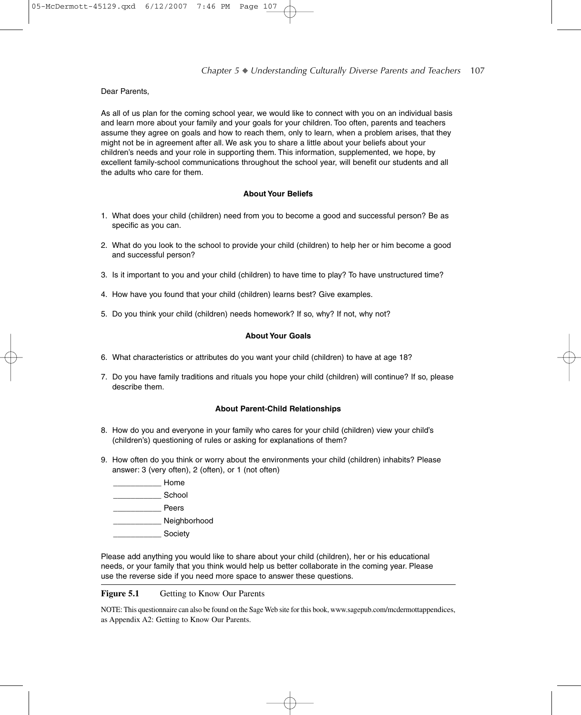#### Dear Parents,

As all of us plan for the coming school year, we would like to connect with you on an individual basis and learn more about your family and your goals for your children. Too often, parents and teachers assume they agree on goals and how to reach them, only to learn, when a problem arises, that they might not be in agreement after all. We ask you to share a little about your beliefs about your children's needs and your role in supporting them. This information, supplemented, we hope, by excellent family-school communications throughout the school year, will benefit our students and all the adults who care for them.

#### **About Your Beliefs**

- 1. What does your child (children) need from you to become a good and successful person? Be as specific as you can.
- 2. What do you look to the school to provide your child (children) to help her or him become a good and successful person?
- 3. Is it important to you and your child (children) to have time to play? To have unstructured time?
- 4. How have you found that your child (children) learns best? Give examples.
- 5. Do you think your child (children) needs homework? If so, why? If not, why not?

#### **About Your Goals**

- 6. What characteristics or attributes do you want your child (children) to have at age 18?
- 7. Do you have family traditions and rituals you hope your child (children) will continue? If so, please describe them.

#### **About Parent-Child Relationships**

- 8. How do you and everyone in your family who cares for your child (children) view your child's (children's) questioning of rules or asking for explanations of them?
- 9. How often do you think or worry about the environments your child (children) inhabits? Please answer: 3 (very often), 2 (often), or 1 (not often)

\_\_\_\_\_\_\_\_\_\_\_ Home School \_\_\_\_\_\_\_\_\_\_\_ Peers \_\_\_\_\_\_\_\_\_\_\_ Neighborhood Society

Please add anything you would like to share about your child (children), her or his educational needs, or your family that you think would help us better collaborate in the coming year. Please use the reverse side if you need more space to answer these questions.

#### **Figure 5.1** Getting to Know Our Parents

NOTE: This questionnaire can also be found on the Sage Web site for this book, www.sagepub.com/mcdermottappendices, as Appendix A2: Getting to Know Our Parents.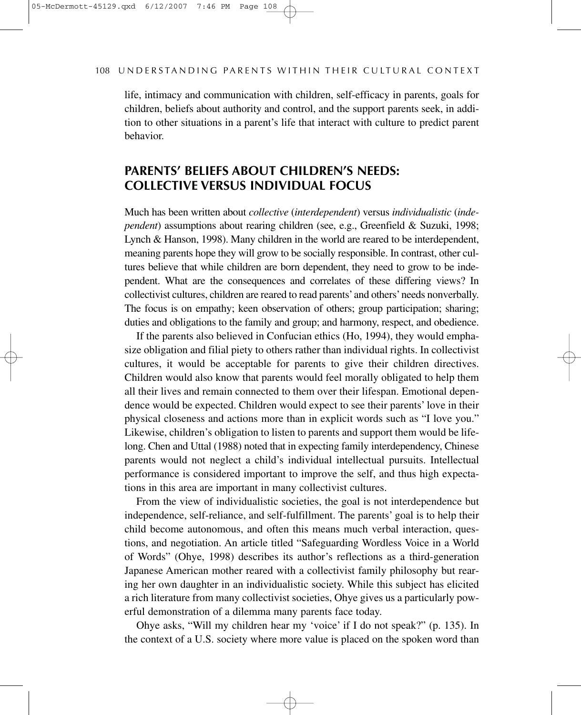life, intimacy and communication with children, self-efficacy in parents, goals for children, beliefs about authority and control, and the support parents seek, in addition to other situations in a parent's life that interact with culture to predict parent behavior.

# **PARENTS' BELIEFS ABOUT CHILDREN'S NEEDS: COLLECTIVE VERSUS INDIVIDUAL FOCUS**

Much has been written about *collective* (*interdependent*) versus *individualistic* (*independent*) assumptions about rearing children (see, e.g., Greenfield & Suzuki, 1998; Lynch & Hanson, 1998). Many children in the world are reared to be interdependent, meaning parents hope they will grow to be socially responsible. In contrast, other cultures believe that while children are born dependent, they need to grow to be independent. What are the consequences and correlates of these differing views? In collectivist cultures, children are reared to read parents'and others'needs nonverbally. The focus is on empathy; keen observation of others; group participation; sharing; duties and obligations to the family and group; and harmony, respect, and obedience.

If the parents also believed in Confucian ethics (Ho, 1994), they would emphasize obligation and filial piety to others rather than individual rights. In collectivist cultures, it would be acceptable for parents to give their children directives. Children would also know that parents would feel morally obligated to help them all their lives and remain connected to them over their lifespan. Emotional dependence would be expected. Children would expect to see their parents' love in their physical closeness and actions more than in explicit words such as "I love you." Likewise, children's obligation to listen to parents and support them would be lifelong. Chen and Uttal (1988) noted that in expecting family interdependency, Chinese parents would not neglect a child's individual intellectual pursuits. Intellectual performance is considered important to improve the self, and thus high expectations in this area are important in many collectivist cultures.

From the view of individualistic societies, the goal is not interdependence but independence, self-reliance, and self-fulfillment. The parents' goal is to help their child become autonomous, and often this means much verbal interaction, questions, and negotiation. An article titled "Safeguarding Wordless Voice in a World of Words" (Ohye, 1998) describes its author's reflections as a third-generation Japanese American mother reared with a collectivist family philosophy but rearing her own daughter in an individualistic society. While this subject has elicited a rich literature from many collectivist societies, Ohye gives us a particularly powerful demonstration of a dilemma many parents face today.

Ohye asks, "Will my children hear my 'voice' if I do not speak?" (p. 135). In the context of a U.S. society where more value is placed on the spoken word than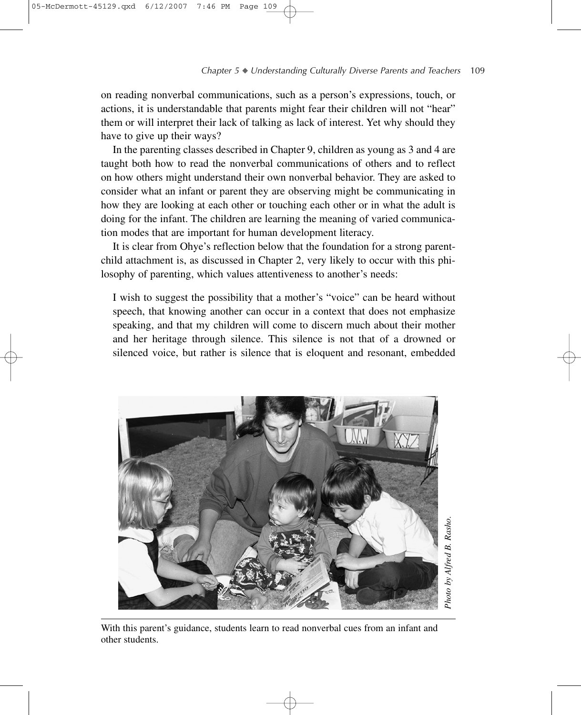on reading nonverbal communications, such as a person's expressions, touch, or actions, it is understandable that parents might fear their children will not "hear" them or will interpret their lack of talking as lack of interest. Yet why should they have to give up their ways?

In the parenting classes described in Chapter 9, children as young as 3 and 4 are taught both how to read the nonverbal communications of others and to reflect on how others might understand their own nonverbal behavior. They are asked to consider what an infant or parent they are observing might be communicating in how they are looking at each other or touching each other or in what the adult is doing for the infant. The children are learning the meaning of varied communication modes that are important for human development literacy.

It is clear from Ohye's reflection below that the foundation for a strong parentchild attachment is, as discussed in Chapter 2, very likely to occur with this philosophy of parenting, which values attentiveness to another's needs:

I wish to suggest the possibility that a mother's "voice" can be heard without speech, that knowing another can occur in a context that does not emphasize speaking, and that my children will come to discern much about their mother and her heritage through silence. This silence is not that of a drowned or silenced voice, but rather is silence that is eloquent and resonant, embedded



With this parent's guidance, students learn to read nonverbal cues from an infant and other students.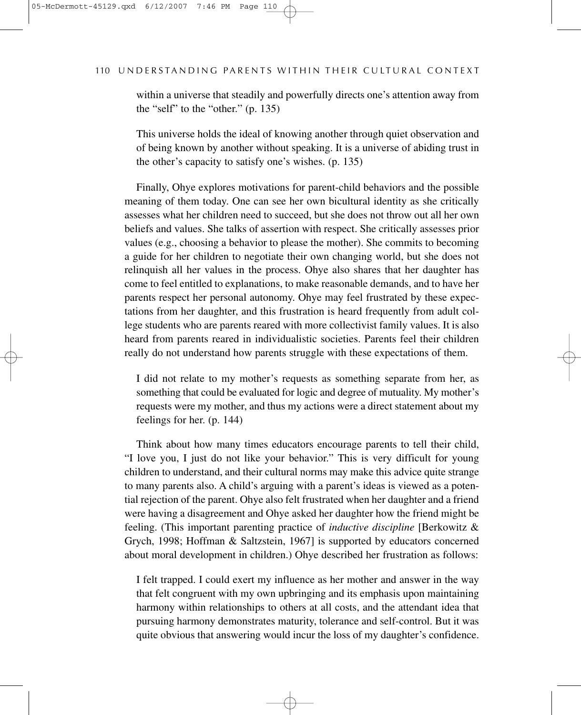within a universe that steadily and powerfully directs one's attention away from the "self" to the "other." (p. 135)

This universe holds the ideal of knowing another through quiet observation and of being known by another without speaking. It is a universe of abiding trust in the other's capacity to satisfy one's wishes. (p. 135)

Finally, Ohye explores motivations for parent-child behaviors and the possible meaning of them today. One can see her own bicultural identity as she critically assesses what her children need to succeed, but she does not throw out all her own beliefs and values. She talks of assertion with respect. She critically assesses prior values (e.g., choosing a behavior to please the mother). She commits to becoming a guide for her children to negotiate their own changing world, but she does not relinquish all her values in the process. Ohye also shares that her daughter has come to feel entitled to explanations, to make reasonable demands, and to have her parents respect her personal autonomy. Ohye may feel frustrated by these expectations from her daughter, and this frustration is heard frequently from adult college students who are parents reared with more collectivist family values. It is also heard from parents reared in individualistic societies. Parents feel their children really do not understand how parents struggle with these expectations of them.

I did not relate to my mother's requests as something separate from her, as something that could be evaluated for logic and degree of mutuality. My mother's requests were my mother, and thus my actions were a direct statement about my feelings for her. (p. 144)

Think about how many times educators encourage parents to tell their child, "I love you, I just do not like your behavior." This is very difficult for young children to understand, and their cultural norms may make this advice quite strange to many parents also. A child's arguing with a parent's ideas is viewed as a potential rejection of the parent. Ohye also felt frustrated when her daughter and a friend were having a disagreement and Ohye asked her daughter how the friend might be feeling. (This important parenting practice of *inductive discipline* [Berkowitz & Grych, 1998; Hoffman & Saltzstein, 1967] is supported by educators concerned about moral development in children.) Ohye described her frustration as follows:

I felt trapped. I could exert my influence as her mother and answer in the way that felt congruent with my own upbringing and its emphasis upon maintaining harmony within relationships to others at all costs, and the attendant idea that pursuing harmony demonstrates maturity, tolerance and self-control. But it was quite obvious that answering would incur the loss of my daughter's confidence.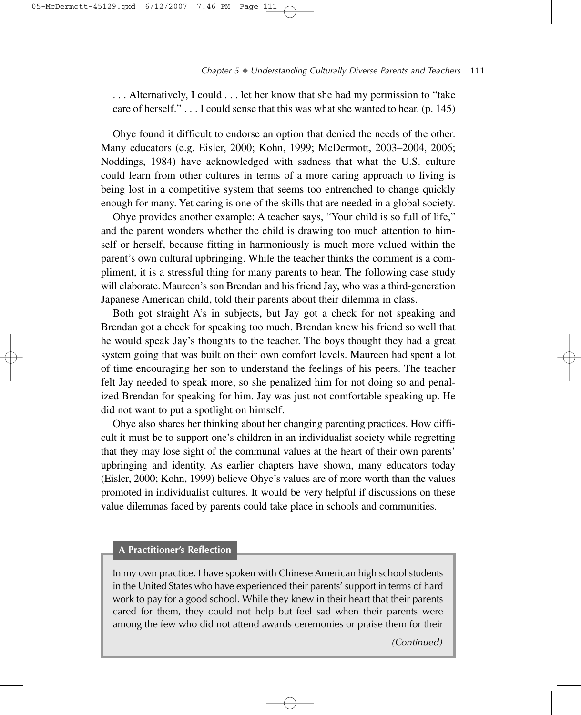. . . Alternatively, I could . . . let her know that she had my permission to "take care of herself." . . . I could sense that this was what she wanted to hear. (p. 145)

Ohye found it difficult to endorse an option that denied the needs of the other. Many educators (e.g. Eisler, 2000; Kohn, 1999; McDermott, 2003–2004, 2006; Noddings, 1984) have acknowledged with sadness that what the U.S. culture could learn from other cultures in terms of a more caring approach to living is being lost in a competitive system that seems too entrenched to change quickly enough for many. Yet caring is one of the skills that are needed in a global society.

Ohye provides another example: A teacher says, "Your child is so full of life," and the parent wonders whether the child is drawing too much attention to himself or herself, because fitting in harmoniously is much more valued within the parent's own cultural upbringing. While the teacher thinks the comment is a compliment, it is a stressful thing for many parents to hear. The following case study will elaborate. Maureen's son Brendan and his friend Jay, who was a third-generation Japanese American child, told their parents about their dilemma in class.

Both got straight A's in subjects, but Jay got a check for not speaking and Brendan got a check for speaking too much. Brendan knew his friend so well that he would speak Jay's thoughts to the teacher. The boys thought they had a great system going that was built on their own comfort levels. Maureen had spent a lot of time encouraging her son to understand the feelings of his peers. The teacher felt Jay needed to speak more, so she penalized him for not doing so and penalized Brendan for speaking for him. Jay was just not comfortable speaking up. He did not want to put a spotlight on himself.

Ohye also shares her thinking about her changing parenting practices. How difficult it must be to support one's children in an individualist society while regretting that they may lose sight of the communal values at the heart of their own parents' upbringing and identity. As earlier chapters have shown, many educators today (Eisler, 2000; Kohn, 1999) believe Ohye's values are of more worth than the values promoted in individualist cultures. It would be very helpful if discussions on these value dilemmas faced by parents could take place in schools and communities.

**A Practitioner's Reflection**

In my own practice, I have spoken with Chinese American high school students in the United States who have experienced their parents' support in terms of hard work to pay for a good school. While they knew in their heart that their parents cared for them, they could not help but feel sad when their parents were among the few who did not attend awards ceremonies or praise them for their

*(Continued)*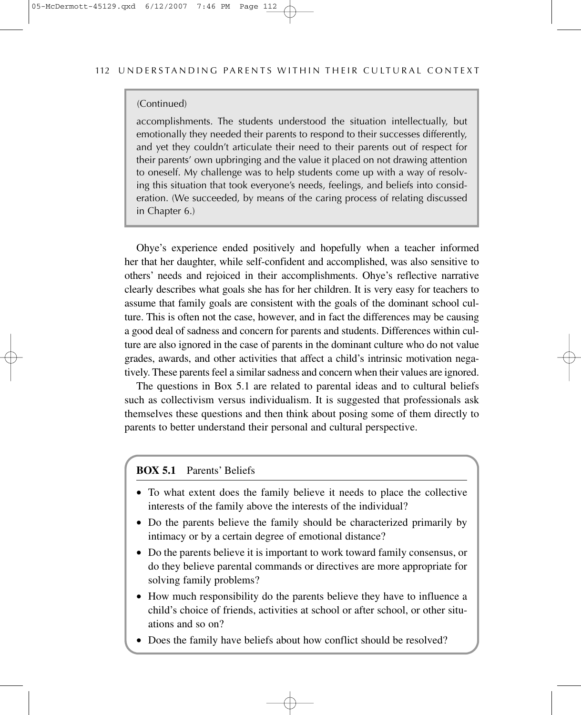#### (Continued)

accomplishments. The students understood the situation intellectually, but emotionally they needed their parents to respond to their successes differently, and yet they couldn't articulate their need to their parents out of respect for their parents' own upbringing and the value it placed on not drawing attention to oneself. My challenge was to help students come up with a way of resolving this situation that took everyone's needs, feelings, and beliefs into consideration. (We succeeded, by means of the caring process of relating discussed in Chapter 6.)

Ohye's experience ended positively and hopefully when a teacher informed her that her daughter, while self-confident and accomplished, was also sensitive to others' needs and rejoiced in their accomplishments. Ohye's reflective narrative clearly describes what goals she has for her children. It is very easy for teachers to assume that family goals are consistent with the goals of the dominant school culture. This is often not the case, however, and in fact the differences may be causing a good deal of sadness and concern for parents and students. Differences within culture are also ignored in the case of parents in the dominant culture who do not value grades, awards, and other activities that affect a child's intrinsic motivation negatively. These parents feel a similar sadness and concern when their values are ignored.

The questions in Box 5.1 are related to parental ideas and to cultural beliefs such as collectivism versus individualism. It is suggested that professionals ask themselves these questions and then think about posing some of them directly to parents to better understand their personal and cultural perspective.

## **BOX 5.1** Parents' Beliefs

- To what extent does the family believe it needs to place the collective interests of the family above the interests of the individual?
- Do the parents believe the family should be characterized primarily by intimacy or by a certain degree of emotional distance?
- Do the parents believe it is important to work toward family consensus, or do they believe parental commands or directives are more appropriate for solving family problems?
- How much responsibility do the parents believe they have to influence a child's choice of friends, activities at school or after school, or other situations and so on?
- Does the family have beliefs about how conflict should be resolved?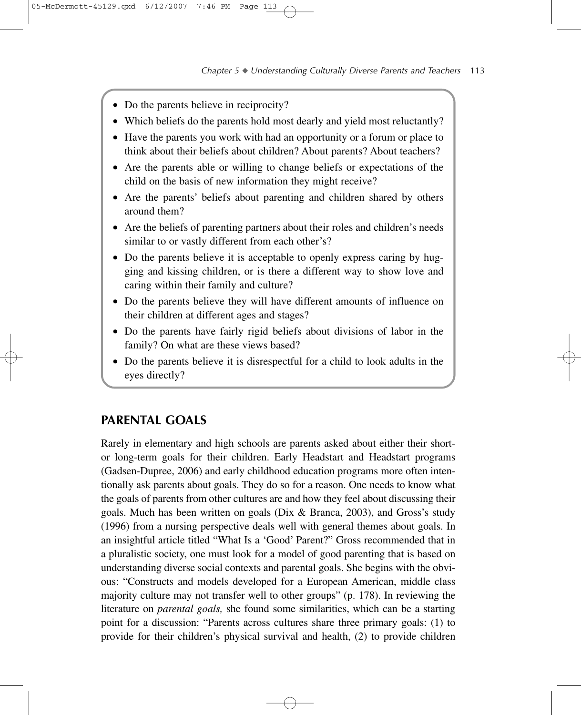- Do the parents believe in reciprocity?
- Which beliefs do the parents hold most dearly and yield most reluctantly?
- Have the parents you work with had an opportunity or a forum or place to think about their beliefs about children? About parents? About teachers?
- Are the parents able or willing to change beliefs or expectations of the child on the basis of new information they might receive?
- Are the parents' beliefs about parenting and children shared by others around them?
- Are the beliefs of parenting partners about their roles and children's needs similar to or vastly different from each other's?
- Do the parents believe it is acceptable to openly express caring by hugging and kissing children, or is there a different way to show love and caring within their family and culture?
- Do the parents believe they will have different amounts of influence on their children at different ages and stages?
- Do the parents have fairly rigid beliefs about divisions of labor in the family? On what are these views based?
- Do the parents believe it is disrespectful for a child to look adults in the eyes directly?

# **PARENTAL GOALS**

Rarely in elementary and high schools are parents asked about either their shortor long-term goals for their children. Early Headstart and Headstart programs (Gadsen-Dupree, 2006) and early childhood education programs more often intentionally ask parents about goals. They do so for a reason. One needs to know what the goals of parents from other cultures are and how they feel about discussing their goals. Much has been written on goals (Dix & Branca, 2003), and Gross's study (1996) from a nursing perspective deals well with general themes about goals. In an insightful article titled "What Is a 'Good' Parent?" Gross recommended that in a pluralistic society, one must look for a model of good parenting that is based on understanding diverse social contexts and parental goals. She begins with the obvious: "Constructs and models developed for a European American, middle class majority culture may not transfer well to other groups" (p. 178). In reviewing the literature on *parental goals,* she found some similarities, which can be a starting point for a discussion: "Parents across cultures share three primary goals: (1) to provide for their children's physical survival and health, (2) to provide children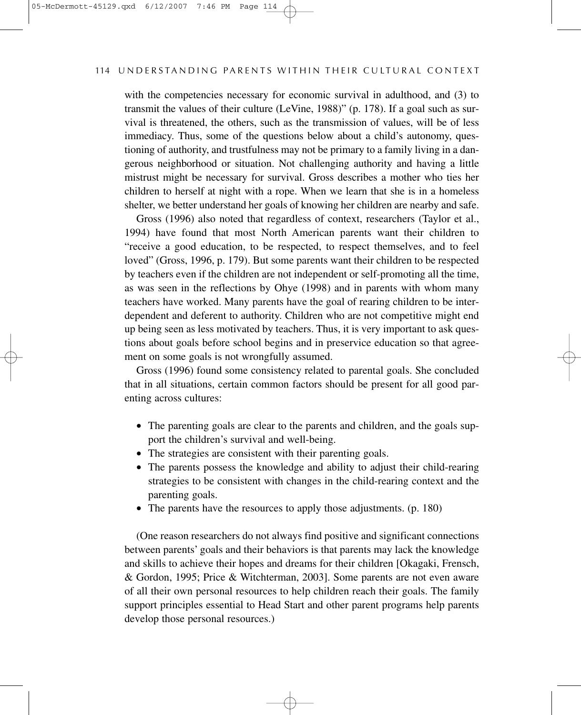with the competencies necessary for economic survival in adulthood, and (3) to transmit the values of their culture (LeVine, 1988)" (p. 178). If a goal such as survival is threatened, the others, such as the transmission of values, will be of less immediacy. Thus, some of the questions below about a child's autonomy, questioning of authority, and trustfulness may not be primary to a family living in a dangerous neighborhood or situation. Not challenging authority and having a little mistrust might be necessary for survival. Gross describes a mother who ties her children to herself at night with a rope. When we learn that she is in a homeless shelter, we better understand her goals of knowing her children are nearby and safe.

Gross (1996) also noted that regardless of context, researchers (Taylor et al., 1994) have found that most North American parents want their children to "receive a good education, to be respected, to respect themselves, and to feel loved" (Gross, 1996, p. 179). But some parents want their children to be respected by teachers even if the children are not independent or self-promoting all the time, as was seen in the reflections by Ohye (1998) and in parents with whom many teachers have worked. Many parents have the goal of rearing children to be interdependent and deferent to authority. Children who are not competitive might end up being seen as less motivated by teachers. Thus, it is very important to ask questions about goals before school begins and in preservice education so that agreement on some goals is not wrongfully assumed.

Gross (1996) found some consistency related to parental goals. She concluded that in all situations, certain common factors should be present for all good parenting across cultures:

- The parenting goals are clear to the parents and children, and the goals support the children's survival and well-being.
- The strategies are consistent with their parenting goals.
- The parents possess the knowledge and ability to adjust their child-rearing strategies to be consistent with changes in the child-rearing context and the parenting goals.
- The parents have the resources to apply those adjustments. (p. 180)

(One reason researchers do not always find positive and significant connections between parents' goals and their behaviors is that parents may lack the knowledge and skills to achieve their hopes and dreams for their children [Okagaki, Frensch, & Gordon, 1995; Price & Witchterman, 2003]. Some parents are not even aware of all their own personal resources to help children reach their goals. The family support principles essential to Head Start and other parent programs help parents develop those personal resources.)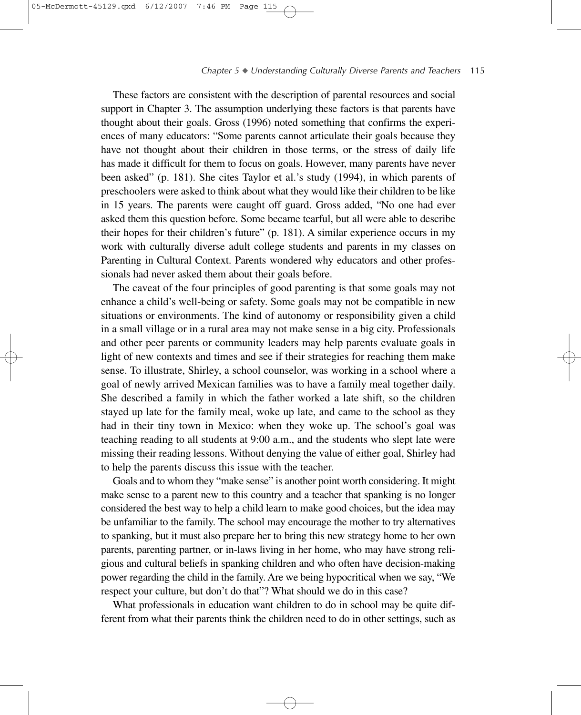These factors are consistent with the description of parental resources and social support in Chapter 3. The assumption underlying these factors is that parents have thought about their goals. Gross (1996) noted something that confirms the experiences of many educators: "Some parents cannot articulate their goals because they have not thought about their children in those terms, or the stress of daily life has made it difficult for them to focus on goals. However, many parents have never been asked" (p. 181). She cites Taylor et al.'s study (1994), in which parents of preschoolers were asked to think about what they would like their children to be like in 15 years. The parents were caught off guard. Gross added, "No one had ever asked them this question before. Some became tearful, but all were able to describe their hopes for their children's future" (p. 181). A similar experience occurs in my work with culturally diverse adult college students and parents in my classes on Parenting in Cultural Context. Parents wondered why educators and other professionals had never asked them about their goals before.

The caveat of the four principles of good parenting is that some goals may not enhance a child's well-being or safety. Some goals may not be compatible in new situations or environments. The kind of autonomy or responsibility given a child in a small village or in a rural area may not make sense in a big city. Professionals and other peer parents or community leaders may help parents evaluate goals in light of new contexts and times and see if their strategies for reaching them make sense. To illustrate, Shirley, a school counselor, was working in a school where a goal of newly arrived Mexican families was to have a family meal together daily. She described a family in which the father worked a late shift, so the children stayed up late for the family meal, woke up late, and came to the school as they had in their tiny town in Mexico: when they woke up. The school's goal was teaching reading to all students at 9:00 a.m., and the students who slept late were missing their reading lessons. Without denying the value of either goal, Shirley had to help the parents discuss this issue with the teacher.

Goals and to whom they "make sense" is another point worth considering. It might make sense to a parent new to this country and a teacher that spanking is no longer considered the best way to help a child learn to make good choices, but the idea may be unfamiliar to the family. The school may encourage the mother to try alternatives to spanking, but it must also prepare her to bring this new strategy home to her own parents, parenting partner, or in-laws living in her home, who may have strong religious and cultural beliefs in spanking children and who often have decision-making power regarding the child in the family. Are we being hypocritical when we say, "We respect your culture, but don't do that"? What should we do in this case?

What professionals in education want children to do in school may be quite different from what their parents think the children need to do in other settings, such as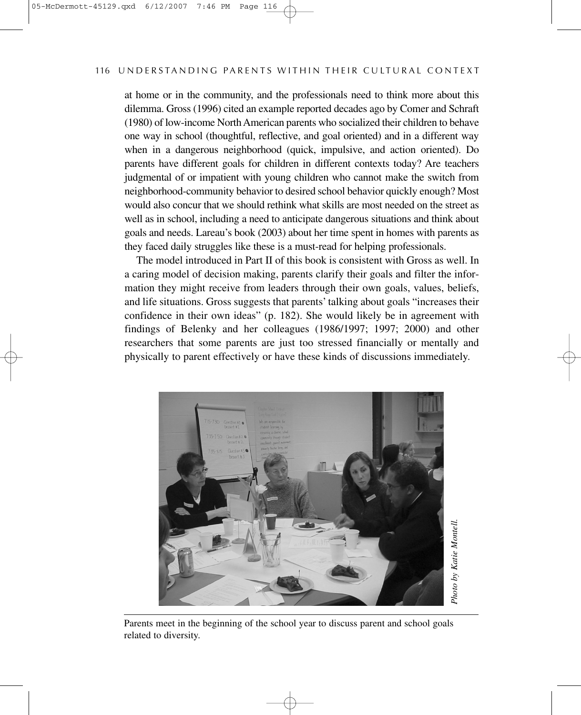at home or in the community, and the professionals need to think more about this dilemma. Gross (1996) cited an example reported decades ago by Comer and Schraft (1980) of low-income North American parents who socialized their children to behave one way in school (thoughtful, reflective, and goal oriented) and in a different way when in a dangerous neighborhood (quick, impulsive, and action oriented). Do parents have different goals for children in different contexts today? Are teachers judgmental of or impatient with young children who cannot make the switch from neighborhood-community behavior to desired school behavior quickly enough? Most would also concur that we should rethink what skills are most needed on the street as well as in school, including a need to anticipate dangerous situations and think about goals and needs. Lareau's book (2003) about her time spent in homes with parents as they faced daily struggles like these is a must-read for helping professionals.

The model introduced in Part II of this book is consistent with Gross as well. In a caring model of decision making, parents clarify their goals and filter the information they might receive from leaders through their own goals, values, beliefs, and life situations. Gross suggests that parents' talking about goals "increases their confidence in their own ideas" (p. 182). She would likely be in agreement with findings of Belenky and her colleagues (1986/1997; 1997; 2000) and other researchers that some parents are just too stressed financially or mentally and physically to parent effectively or have these kinds of discussions immediately.



Parents meet in the beginning of the school year to discuss parent and school goals related to diversity.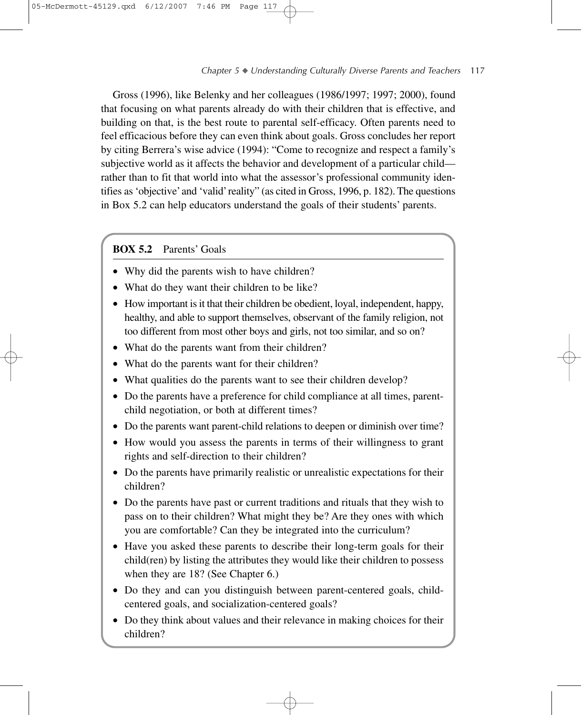Gross (1996), like Belenky and her colleagues (1986/1997; 1997; 2000), found that focusing on what parents already do with their children that is effective, and building on that, is the best route to parental self-efficacy. Often parents need to feel efficacious before they can even think about goals. Gross concludes her report by citing Berrera's wise advice (1994): "Come to recognize and respect a family's subjective world as it affects the behavior and development of a particular child rather than to fit that world into what the assessor's professional community identifies as 'objective'and 'valid'reality" (as cited in Gross, 1996, p. 182). The questions in Box 5.2 can help educators understand the goals of their students' parents.

## **BOX 5.2** Parents' Goals

- Why did the parents wish to have children?
- What do they want their children to be like?
- How important is it that their children be obedient, loyal, independent, happy, healthy, and able to support themselves, observant of the family religion, not too different from most other boys and girls, not too similar, and so on?
- What do the parents want from their children?
- What do the parents want for their children?
- What qualities do the parents want to see their children develop?
- Do the parents have a preference for child compliance at all times, parentchild negotiation, or both at different times?
- Do the parents want parent-child relations to deepen or diminish over time?
- How would you assess the parents in terms of their willingness to grant rights and self-direction to their children?
- Do the parents have primarily realistic or unrealistic expectations for their children?
- Do the parents have past or current traditions and rituals that they wish to pass on to their children? What might they be? Are they ones with which you are comfortable? Can they be integrated into the curriculum?
- Have you asked these parents to describe their long-term goals for their child(ren) by listing the attributes they would like their children to possess when they are 18? (See Chapter 6.)
- Do they and can you distinguish between parent-centered goals, childcentered goals, and socialization-centered goals?
- Do they think about values and their relevance in making choices for their children?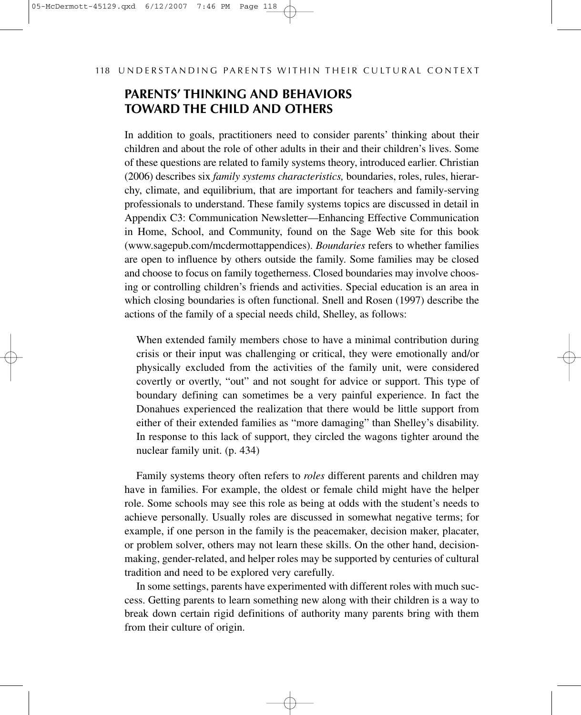# **PARENTS' THINKING AND BEHAVIORS TOWARD THE CHILD AND OTHERS**

In addition to goals, practitioners need to consider parents' thinking about their children and about the role of other adults in their and their children's lives. Some of these questions are related to family systems theory, introduced earlier. Christian (2006) describes six *family systems characteristics,* boundaries, roles, rules, hierarchy, climate, and equilibrium, that are important for teachers and family-serving professionals to understand. These family systems topics are discussed in detail in Appendix C3: Communication Newsletter—Enhancing Effective Communication in Home, School, and Community, found on the Sage Web site for this book (www.sagepub.com/mcdermottappendices). *Boundaries* refers to whether families are open to influence by others outside the family. Some families may be closed and choose to focus on family togetherness. Closed boundaries may involve choosing or controlling children's friends and activities. Special education is an area in which closing boundaries is often functional. Snell and Rosen (1997) describe the actions of the family of a special needs child, Shelley, as follows:

When extended family members chose to have a minimal contribution during crisis or their input was challenging or critical, they were emotionally and/or physically excluded from the activities of the family unit, were considered covertly or overtly, "out" and not sought for advice or support. This type of boundary defining can sometimes be a very painful experience. In fact the Donahues experienced the realization that there would be little support from either of their extended families as "more damaging" than Shelley's disability. In response to this lack of support, they circled the wagons tighter around the nuclear family unit. (p. 434)

Family systems theory often refers to *roles* different parents and children may have in families. For example, the oldest or female child might have the helper role. Some schools may see this role as being at odds with the student's needs to achieve personally. Usually roles are discussed in somewhat negative terms; for example, if one person in the family is the peacemaker, decision maker, placater, or problem solver, others may not learn these skills. On the other hand, decisionmaking, gender-related, and helper roles may be supported by centuries of cultural tradition and need to be explored very carefully.

In some settings, parents have experimented with different roles with much success. Getting parents to learn something new along with their children is a way to break down certain rigid definitions of authority many parents bring with them from their culture of origin.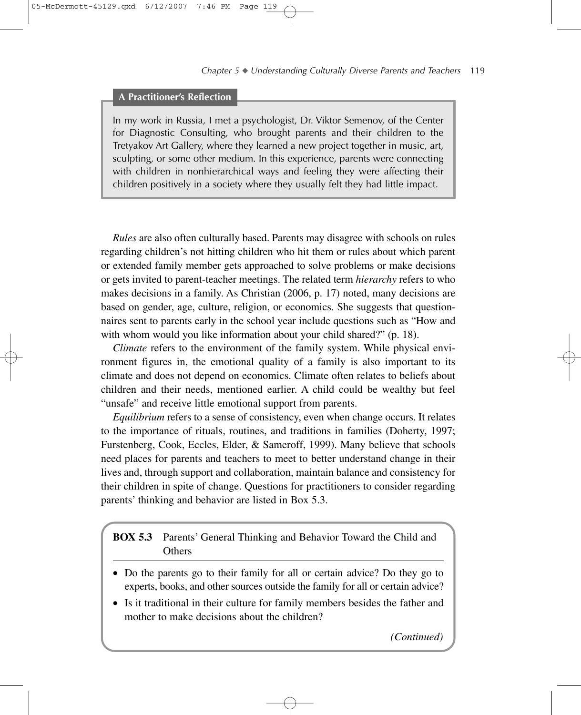## **A Practitioner's Reflection**

In my work in Russia, I met a psychologist, Dr. Viktor Semenov, of the Center for Diagnostic Consulting, who brought parents and their children to the Tretyakov Art Gallery, where they learned a new project together in music, art, sculpting, or some other medium. In this experience, parents were connecting with children in nonhierarchical ways and feeling they were affecting their children positively in a society where they usually felt they had little impact.

*Rules* are also often culturally based. Parents may disagree with schools on rules regarding children's not hitting children who hit them or rules about which parent or extended family member gets approached to solve problems or make decisions or gets invited to parent-teacher meetings. The related term *hierarchy* refers to who makes decisions in a family. As Christian (2006, p. 17) noted, many decisions are based on gender, age, culture, religion, or economics. She suggests that questionnaires sent to parents early in the school year include questions such as "How and with whom would you like information about your child shared?" (p. 18).

*Climate* refers to the environment of the family system. While physical environment figures in, the emotional quality of a family is also important to its climate and does not depend on economics. Climate often relates to beliefs about children and their needs, mentioned earlier. A child could be wealthy but feel "unsafe" and receive little emotional support from parents.

*Equilibrium* refers to a sense of consistency, even when change occurs. It relates to the importance of rituals, routines, and traditions in families (Doherty, 1997; Furstenberg, Cook, Eccles, Elder, & Sameroff, 1999). Many believe that schools need places for parents and teachers to meet to better understand change in their lives and, through support and collaboration, maintain balance and consistency for their children in spite of change. Questions for practitioners to consider regarding parents' thinking and behavior are listed in Box 5.3.

**BOX 5.3** Parents' General Thinking and Behavior Toward the Child and **Others** 

- Do the parents go to their family for all or certain advice? Do they go to experts, books, and other sources outside the family for all or certain advice?
- Is it traditional in their culture for family members besides the father and mother to make decisions about the children?

*(Continued)*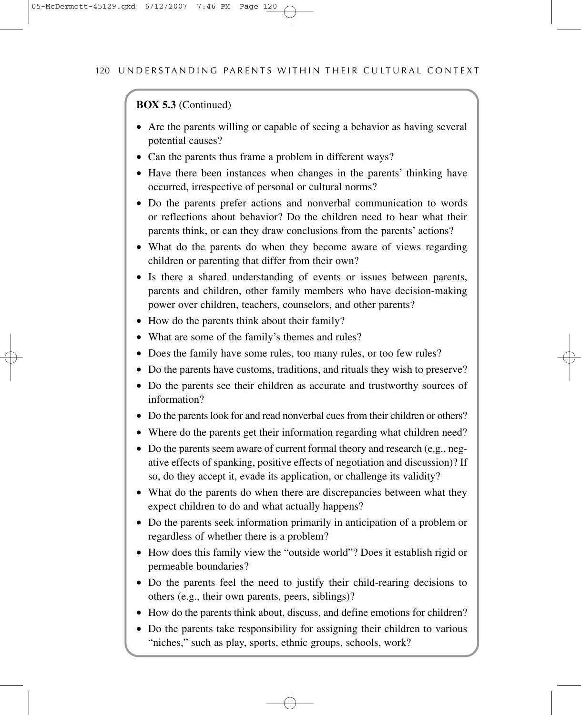## **BOX 5.3** (Continued)

- Are the parents willing or capable of seeing a behavior as having several potential causes?
- Can the parents thus frame a problem in different ways?
- Have there been instances when changes in the parents' thinking have occurred, irrespective of personal or cultural norms?
- Do the parents prefer actions and nonverbal communication to words or reflections about behavior? Do the children need to hear what their parents think, or can they draw conclusions from the parents' actions?
- What do the parents do when they become aware of views regarding children or parenting that differ from their own?
- Is there a shared understanding of events or issues between parents, parents and children, other family members who have decision-making power over children, teachers, counselors, and other parents?
- How do the parents think about their family?
- What are some of the family's themes and rules?
- Does the family have some rules, too many rules, or too few rules?
- Do the parents have customs, traditions, and rituals they wish to preserve?
- Do the parents see their children as accurate and trustworthy sources of information?
- Do the parents look for and read nonverbal cues from their children or others?
- Where do the parents get their information regarding what children need?
- Do the parents seem aware of current formal theory and research (e.g., negative effects of spanking, positive effects of negotiation and discussion)? If so, do they accept it, evade its application, or challenge its validity?
- What do the parents do when there are discrepancies between what they expect children to do and what actually happens?
- Do the parents seek information primarily in anticipation of a problem or regardless of whether there is a problem?
- How does this family view the "outside world"? Does it establish rigid or permeable boundaries?
- Do the parents feel the need to justify their child-rearing decisions to others (e.g., their own parents, peers, siblings)?
- How do the parents think about, discuss, and define emotions for children?
- Do the parents take responsibility for assigning their children to various "niches," such as play, sports, ethnic groups, schools, work?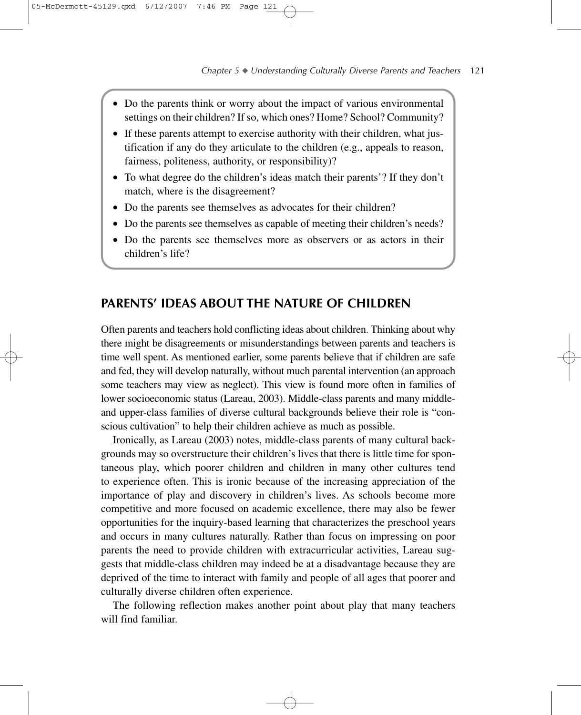- Do the parents think or worry about the impact of various environmental settings on their children? If so, which ones? Home? School? Community?
- If these parents attempt to exercise authority with their children, what justification if any do they articulate to the children (e.g., appeals to reason, fairness, politeness, authority, or responsibility)?
- To what degree do the children's ideas match their parents'? If they don't match, where is the disagreement?
- Do the parents see themselves as advocates for their children?
- Do the parents see themselves as capable of meeting their children's needs?
- Do the parents see themselves more as observers or as actors in their children's life?

# **PARENTS' IDEAS ABOUT THE NATURE OF CHILDREN**

Often parents and teachers hold conflicting ideas about children. Thinking about why there might be disagreements or misunderstandings between parents and teachers is time well spent. As mentioned earlier, some parents believe that if children are safe and fed, they will develop naturally, without much parental intervention (an approach some teachers may view as neglect). This view is found more often in families of lower socioeconomic status (Lareau, 2003). Middle-class parents and many middleand upper-class families of diverse cultural backgrounds believe their role is "conscious cultivation" to help their children achieve as much as possible.

Ironically, as Lareau (2003) notes, middle-class parents of many cultural backgrounds may so overstructure their children's lives that there is little time for spontaneous play, which poorer children and children in many other cultures tend to experience often. This is ironic because of the increasing appreciation of the importance of play and discovery in children's lives. As schools become more competitive and more focused on academic excellence, there may also be fewer opportunities for the inquiry-based learning that characterizes the preschool years and occurs in many cultures naturally. Rather than focus on impressing on poor parents the need to provide children with extracurricular activities, Lareau suggests that middle-class children may indeed be at a disadvantage because they are deprived of the time to interact with family and people of all ages that poorer and culturally diverse children often experience.

The following reflection makes another point about play that many teachers will find familiar.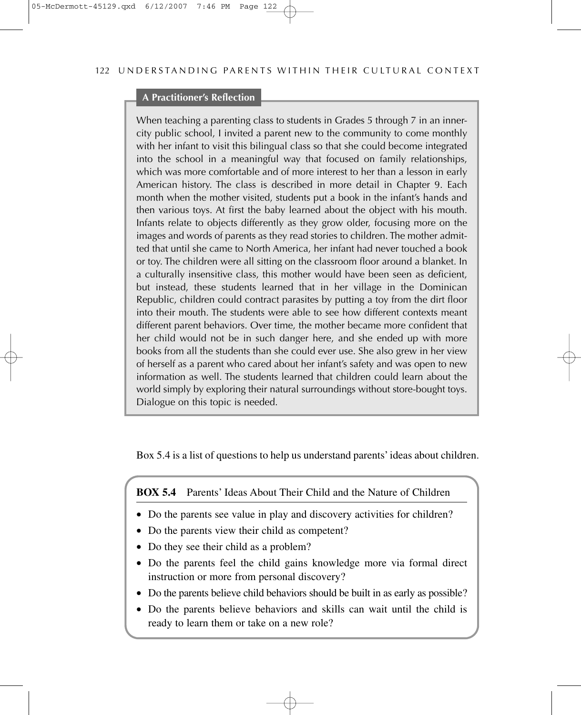## **A Practitioner's Reflection**

When teaching a parenting class to students in Grades 5 through 7 in an innercity public school, I invited a parent new to the community to come monthly with her infant to visit this bilingual class so that she could become integrated into the school in a meaningful way that focused on family relationships, which was more comfortable and of more interest to her than a lesson in early American history. The class is described in more detail in Chapter 9. Each month when the mother visited, students put a book in the infant's hands and then various toys. At first the baby learned about the object with his mouth. Infants relate to objects differently as they grow older, focusing more on the images and words of parents as they read stories to children. The mother admitted that until she came to North America, her infant had never touched a book or toy. The children were all sitting on the classroom floor around a blanket. In a culturally insensitive class, this mother would have been seen as deficient, but instead, these students learned that in her village in the Dominican Republic, children could contract parasites by putting a toy from the dirt floor into their mouth. The students were able to see how different contexts meant different parent behaviors. Over time, the mother became more confident that her child would not be in such danger here, and she ended up with more books from all the students than she could ever use. She also grew in her view of herself as a parent who cared about her infant's safety and was open to new information as well. The students learned that children could learn about the world simply by exploring their natural surroundings without store-bought toys. Dialogue on this topic is needed.

Box 5.4 is a list of questions to help us understand parents' ideas about children.

**BOX 5.4** Parents' Ideas About Their Child and the Nature of Children

- Do the parents see value in play and discovery activities for children?
- Do the parents view their child as competent?
- Do they see their child as a problem?
- Do the parents feel the child gains knowledge more via formal direct instruction or more from personal discovery?
- Do the parents believe child behaviors should be built in as early as possible?
- Do the parents believe behaviors and skills can wait until the child is ready to learn them or take on a new role?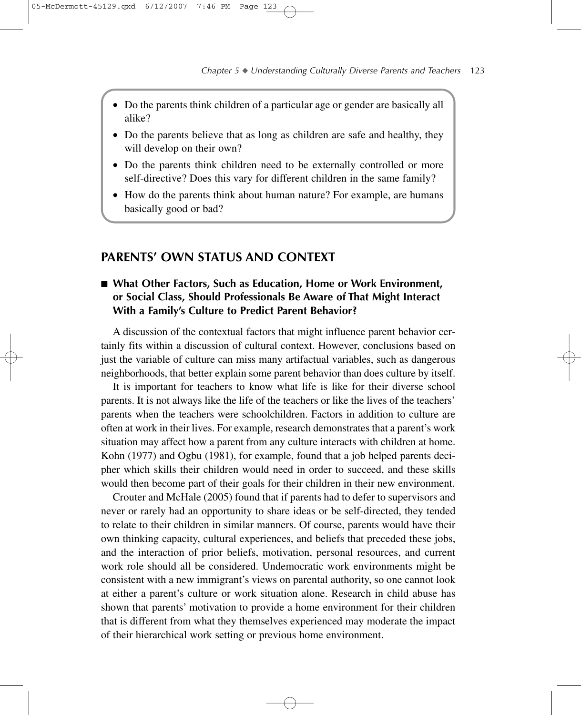- Do the parents think children of a particular age or gender are basically all alike?
- Do the parents believe that as long as children are safe and healthy, they will develop on their own?
- Do the parents think children need to be externally controlled or more self-directive? Does this vary for different children in the same family?
- How do the parents think about human nature? For example, are humans basically good or bad?

# **PARENTS' OWN STATUS AND CONTEXT**

# ■ What Other Factors, Such as Education, Home or Work Environment, **or Social Class, Should Professionals Be Aware of That Might Interact With a Family's Culture to Predict Parent Behavior?**

A discussion of the contextual factors that might influence parent behavior certainly fits within a discussion of cultural context. However, conclusions based on just the variable of culture can miss many artifactual variables, such as dangerous neighborhoods, that better explain some parent behavior than does culture by itself.

It is important for teachers to know what life is like for their diverse school parents. It is not always like the life of the teachers or like the lives of the teachers' parents when the teachers were schoolchildren. Factors in addition to culture are often at work in their lives. For example, research demonstrates that a parent's work situation may affect how a parent from any culture interacts with children at home. Kohn (1977) and Ogbu (1981), for example, found that a job helped parents decipher which skills their children would need in order to succeed, and these skills would then become part of their goals for their children in their new environment.

Crouter and McHale (2005) found that if parents had to defer to supervisors and never or rarely had an opportunity to share ideas or be self-directed, they tended to relate to their children in similar manners. Of course, parents would have their own thinking capacity, cultural experiences, and beliefs that preceded these jobs, and the interaction of prior beliefs, motivation, personal resources, and current work role should all be considered. Undemocratic work environments might be consistent with a new immigrant's views on parental authority, so one cannot look at either a parent's culture or work situation alone. Research in child abuse has shown that parents' motivation to provide a home environment for their children that is different from what they themselves experienced may moderate the impact of their hierarchical work setting or previous home environment.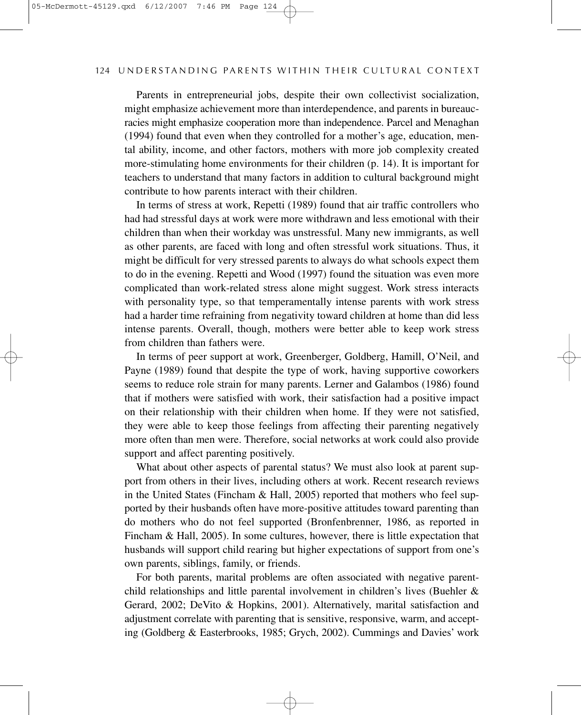Parents in entrepreneurial jobs, despite their own collectivist socialization, might emphasize achievement more than interdependence, and parents in bureaucracies might emphasize cooperation more than independence. Parcel and Menaghan (1994) found that even when they controlled for a mother's age, education, mental ability, income, and other factors, mothers with more job complexity created more-stimulating home environments for their children (p. 14). It is important for teachers to understand that many factors in addition to cultural background might contribute to how parents interact with their children.

In terms of stress at work, Repetti (1989) found that air traffic controllers who had had stressful days at work were more withdrawn and less emotional with their children than when their workday was unstressful. Many new immigrants, as well as other parents, are faced with long and often stressful work situations. Thus, it might be difficult for very stressed parents to always do what schools expect them to do in the evening. Repetti and Wood (1997) found the situation was even more complicated than work-related stress alone might suggest. Work stress interacts with personality type, so that temperamentally intense parents with work stress had a harder time refraining from negativity toward children at home than did less intense parents. Overall, though, mothers were better able to keep work stress from children than fathers were.

In terms of peer support at work, Greenberger, Goldberg, Hamill, O'Neil, and Payne (1989) found that despite the type of work, having supportive coworkers seems to reduce role strain for many parents. Lerner and Galambos (1986) found that if mothers were satisfied with work, their satisfaction had a positive impact on their relationship with their children when home. If they were not satisfied, they were able to keep those feelings from affecting their parenting negatively more often than men were. Therefore, social networks at work could also provide support and affect parenting positively.

What about other aspects of parental status? We must also look at parent support from others in their lives, including others at work. Recent research reviews in the United States (Fincham & Hall, 2005) reported that mothers who feel supported by their husbands often have more-positive attitudes toward parenting than do mothers who do not feel supported (Bronfenbrenner, 1986, as reported in Fincham & Hall, 2005). In some cultures, however, there is little expectation that husbands will support child rearing but higher expectations of support from one's own parents, siblings, family, or friends.

For both parents, marital problems are often associated with negative parentchild relationships and little parental involvement in children's lives (Buehler & Gerard, 2002; DeVito & Hopkins, 2001). Alternatively, marital satisfaction and adjustment correlate with parenting that is sensitive, responsive, warm, and accepting (Goldberg & Easterbrooks, 1985; Grych, 2002). Cummings and Davies' work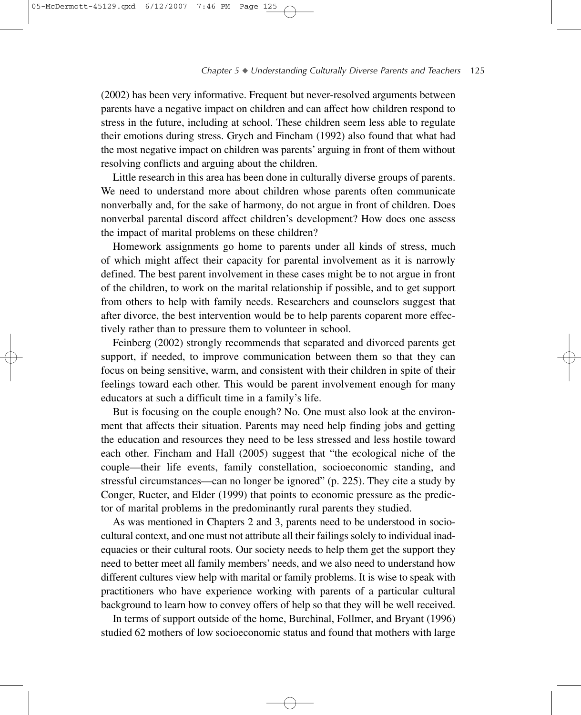(2002) has been very informative. Frequent but never-resolved arguments between parents have a negative impact on children and can affect how children respond to stress in the future, including at school. These children seem less able to regulate their emotions during stress. Grych and Fincham (1992) also found that what had the most negative impact on children was parents' arguing in front of them without resolving conflicts and arguing about the children.

Little research in this area has been done in culturally diverse groups of parents. We need to understand more about children whose parents often communicate nonverbally and, for the sake of harmony, do not argue in front of children. Does nonverbal parental discord affect children's development? How does one assess the impact of marital problems on these children?

Homework assignments go home to parents under all kinds of stress, much of which might affect their capacity for parental involvement as it is narrowly defined. The best parent involvement in these cases might be to not argue in front of the children, to work on the marital relationship if possible, and to get support from others to help with family needs. Researchers and counselors suggest that after divorce, the best intervention would be to help parents coparent more effectively rather than to pressure them to volunteer in school.

Feinberg (2002) strongly recommends that separated and divorced parents get support, if needed, to improve communication between them so that they can focus on being sensitive, warm, and consistent with their children in spite of their feelings toward each other. This would be parent involvement enough for many educators at such a difficult time in a family's life.

But is focusing on the couple enough? No. One must also look at the environment that affects their situation. Parents may need help finding jobs and getting the education and resources they need to be less stressed and less hostile toward each other. Fincham and Hall (2005) suggest that "the ecological niche of the couple—their life events, family constellation, socioeconomic standing, and stressful circumstances—can no longer be ignored" (p. 225). They cite a study by Conger, Rueter, and Elder (1999) that points to economic pressure as the predictor of marital problems in the predominantly rural parents they studied.

As was mentioned in Chapters 2 and 3, parents need to be understood in sociocultural context, and one must not attribute all their failings solely to individual inadequacies or their cultural roots. Our society needs to help them get the support they need to better meet all family members' needs, and we also need to understand how different cultures view help with marital or family problems. It is wise to speak with practitioners who have experience working with parents of a particular cultural background to learn how to convey offers of help so that they will be well received.

In terms of support outside of the home, Burchinal, Follmer, and Bryant (1996) studied 62 mothers of low socioeconomic status and found that mothers with large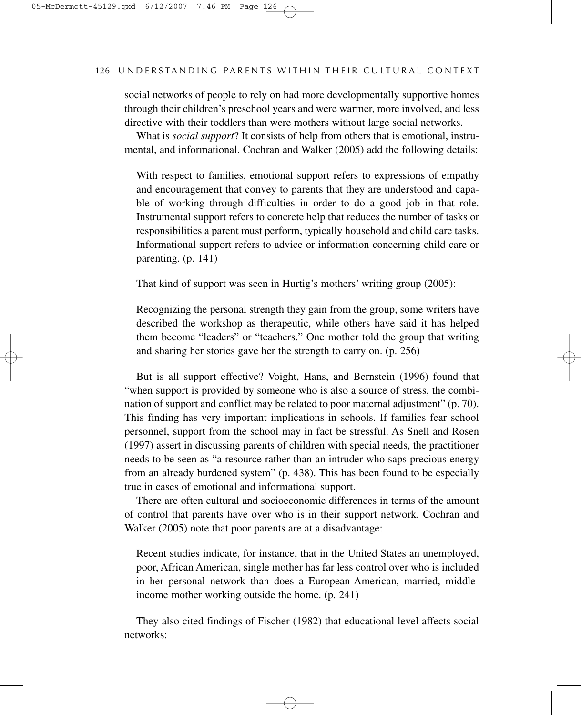social networks of people to rely on had more developmentally supportive homes through their children's preschool years and were warmer, more involved, and less directive with their toddlers than were mothers without large social networks.

What is *social support*? It consists of help from others that is emotional, instrumental, and informational. Cochran and Walker (2005) add the following details:

With respect to families, emotional support refers to expressions of empathy and encouragement that convey to parents that they are understood and capable of working through difficulties in order to do a good job in that role. Instrumental support refers to concrete help that reduces the number of tasks or responsibilities a parent must perform, typically household and child care tasks. Informational support refers to advice or information concerning child care or parenting. (p. 141)

That kind of support was seen in Hurtig's mothers' writing group (2005):

Recognizing the personal strength they gain from the group, some writers have described the workshop as therapeutic, while others have said it has helped them become "leaders" or "teachers." One mother told the group that writing and sharing her stories gave her the strength to carry on. (p. 256)

But is all support effective? Voight, Hans, and Bernstein (1996) found that "when support is provided by someone who is also a source of stress, the combination of support and conflict may be related to poor maternal adjustment" (p. 70). This finding has very important implications in schools. If families fear school personnel, support from the school may in fact be stressful. As Snell and Rosen (1997) assert in discussing parents of children with special needs, the practitioner needs to be seen as "a resource rather than an intruder who saps precious energy from an already burdened system" (p. 438). This has been found to be especially true in cases of emotional and informational support.

There are often cultural and socioeconomic differences in terms of the amount of control that parents have over who is in their support network. Cochran and Walker (2005) note that poor parents are at a disadvantage:

Recent studies indicate, for instance, that in the United States an unemployed, poor, African American, single mother has far less control over who is included in her personal network than does a European-American, married, middleincome mother working outside the home. (p. 241)

They also cited findings of Fischer (1982) that educational level affects social networks: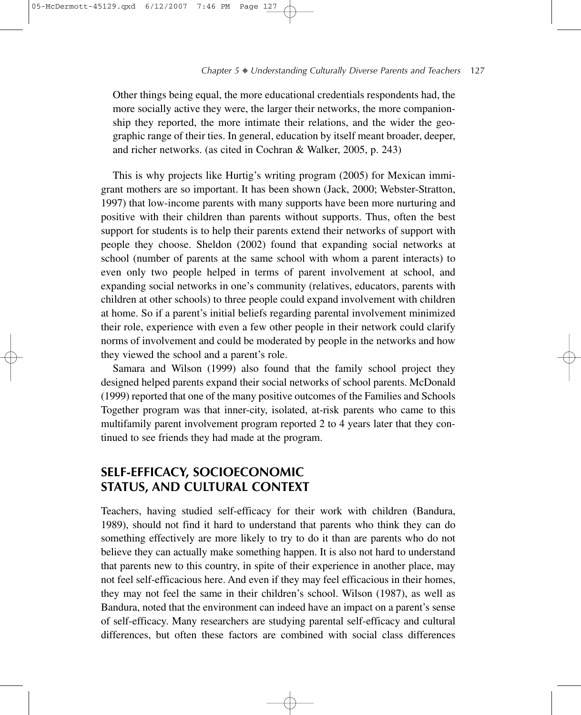Other things being equal, the more educational credentials respondents had, the more socially active they were, the larger their networks, the more companionship they reported, the more intimate their relations, and the wider the geographic range of their ties. In general, education by itself meant broader, deeper, and richer networks. (as cited in Cochran & Walker, 2005, p. 243)

This is why projects like Hurtig's writing program (2005) for Mexican immigrant mothers are so important. It has been shown (Jack, 2000; Webster-Stratton, 1997) that low-income parents with many supports have been more nurturing and positive with their children than parents without supports. Thus, often the best support for students is to help their parents extend their networks of support with people they choose. Sheldon (2002) found that expanding social networks at school (number of parents at the same school with whom a parent interacts) to even only two people helped in terms of parent involvement at school, and expanding social networks in one's community (relatives, educators, parents with children at other schools) to three people could expand involvement with children at home. So if a parent's initial beliefs regarding parental involvement minimized their role, experience with even a few other people in their network could clarify norms of involvement and could be moderated by people in the networks and how they viewed the school and a parent's role.

Samara and Wilson (1999) also found that the family school project they designed helped parents expand their social networks of school parents. McDonald (1999) reported that one of the many positive outcomes of the Families and Schools Together program was that inner-city, isolated, at-risk parents who came to this multifamily parent involvement program reported 2 to 4 years later that they continued to see friends they had made at the program.

# **SELF-EFFICACY, SOCIOECONOMIC STATUS, AND CULTURAL CONTEXT**

Teachers, having studied self-efficacy for their work with children (Bandura, 1989), should not find it hard to understand that parents who think they can do something effectively are more likely to try to do it than are parents who do not believe they can actually make something happen. It is also not hard to understand that parents new to this country, in spite of their experience in another place, may not feel self-efficacious here. And even if they may feel efficacious in their homes, they may not feel the same in their children's school. Wilson (1987), as well as Bandura, noted that the environment can indeed have an impact on a parent's sense of self-efficacy. Many researchers are studying parental self-efficacy and cultural differences, but often these factors are combined with social class differences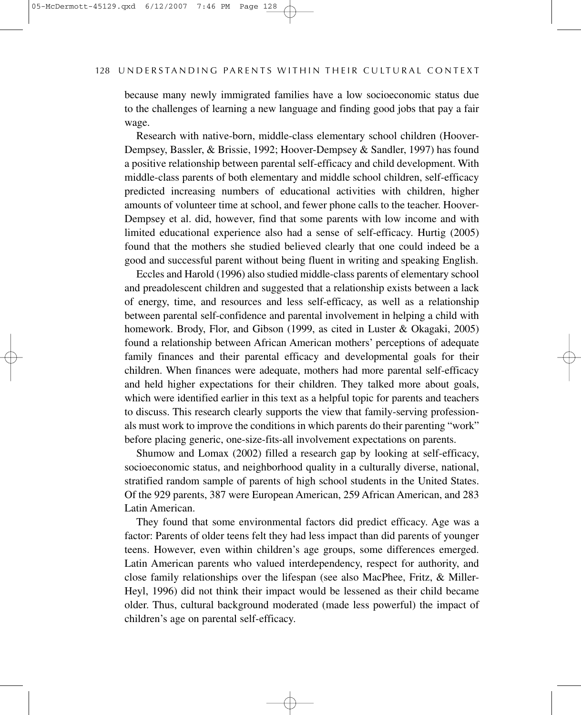because many newly immigrated families have a low socioeconomic status due to the challenges of learning a new language and finding good jobs that pay a fair wage.

Research with native-born, middle-class elementary school children (Hoover-Dempsey, Bassler, & Brissie, 1992; Hoover-Dempsey & Sandler, 1997) has found a positive relationship between parental self-efficacy and child development. With middle-class parents of both elementary and middle school children, self-efficacy predicted increasing numbers of educational activities with children, higher amounts of volunteer time at school, and fewer phone calls to the teacher. Hoover-Dempsey et al. did, however, find that some parents with low income and with limited educational experience also had a sense of self-efficacy. Hurtig (2005) found that the mothers she studied believed clearly that one could indeed be a good and successful parent without being fluent in writing and speaking English.

Eccles and Harold (1996) also studied middle-class parents of elementary school and preadolescent children and suggested that a relationship exists between a lack of energy, time, and resources and less self-efficacy, as well as a relationship between parental self-confidence and parental involvement in helping a child with homework. Brody, Flor, and Gibson (1999, as cited in Luster & Okagaki, 2005) found a relationship between African American mothers' perceptions of adequate family finances and their parental efficacy and developmental goals for their children. When finances were adequate, mothers had more parental self-efficacy and held higher expectations for their children. They talked more about goals, which were identified earlier in this text as a helpful topic for parents and teachers to discuss. This research clearly supports the view that family-serving professionals must work to improve the conditions in which parents do their parenting "work" before placing generic, one-size-fits-all involvement expectations on parents.

Shumow and Lomax (2002) filled a research gap by looking at self-efficacy, socioeconomic status, and neighborhood quality in a culturally diverse, national, stratified random sample of parents of high school students in the United States. Of the 929 parents, 387 were European American, 259 African American, and 283 Latin American.

They found that some environmental factors did predict efficacy. Age was a factor: Parents of older teens felt they had less impact than did parents of younger teens. However, even within children's age groups, some differences emerged. Latin American parents who valued interdependency, respect for authority, and close family relationships over the lifespan (see also MacPhee, Fritz, & Miller-Heyl, 1996) did not think their impact would be lessened as their child became older. Thus, cultural background moderated (made less powerful) the impact of children's age on parental self-efficacy.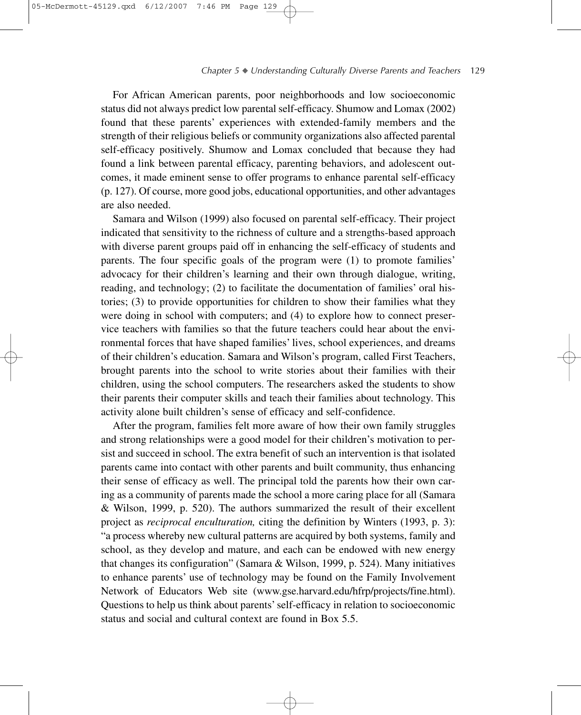For African American parents, poor neighborhoods and low socioeconomic status did not always predict low parental self-efficacy. Shumow and Lomax (2002) found that these parents' experiences with extended-family members and the strength of their religious beliefs or community organizations also affected parental self-efficacy positively. Shumow and Lomax concluded that because they had found a link between parental efficacy, parenting behaviors, and adolescent outcomes, it made eminent sense to offer programs to enhance parental self-efficacy (p. 127). Of course, more good jobs, educational opportunities, and other advantages are also needed.

Samara and Wilson (1999) also focused on parental self-efficacy. Their project indicated that sensitivity to the richness of culture and a strengths-based approach with diverse parent groups paid off in enhancing the self-efficacy of students and parents. The four specific goals of the program were (1) to promote families' advocacy for their children's learning and their own through dialogue, writing, reading, and technology; (2) to facilitate the documentation of families' oral histories; (3) to provide opportunities for children to show their families what they were doing in school with computers; and (4) to explore how to connect preservice teachers with families so that the future teachers could hear about the environmental forces that have shaped families' lives, school experiences, and dreams of their children's education. Samara and Wilson's program, called First Teachers, brought parents into the school to write stories about their families with their children, using the school computers. The researchers asked the students to show their parents their computer skills and teach their families about technology. This activity alone built children's sense of efficacy and self-confidence.

After the program, families felt more aware of how their own family struggles and strong relationships were a good model for their children's motivation to persist and succeed in school. The extra benefit of such an intervention is that isolated parents came into contact with other parents and built community, thus enhancing their sense of efficacy as well. The principal told the parents how their own caring as a community of parents made the school a more caring place for all (Samara & Wilson, 1999, p. 520). The authors summarized the result of their excellent project as *reciprocal enculturation,* citing the definition by Winters (1993, p. 3): "a process whereby new cultural patterns are acquired by both systems, family and school, as they develop and mature, and each can be endowed with new energy that changes its configuration" (Samara & Wilson, 1999, p. 524). Many initiatives to enhance parents' use of technology may be found on the Family Involvement Network of Educators Web site (www.gse.harvard.edu/hfrp/projects/fine.html). Questions to help us think about parents' self-efficacy in relation to socioeconomic status and social and cultural context are found in Box 5.5.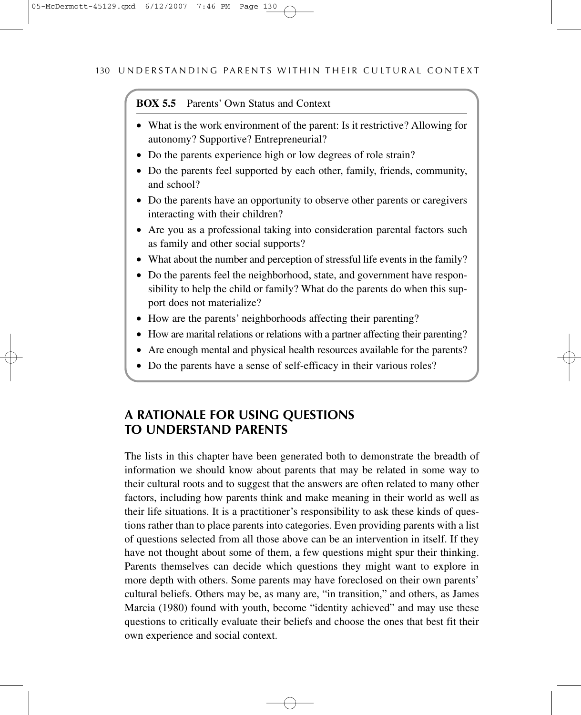**BOX 5.5** Parents' Own Status and Context

- What is the work environment of the parent: Is it restrictive? Allowing for autonomy? Supportive? Entrepreneurial?
- Do the parents experience high or low degrees of role strain?
- Do the parents feel supported by each other, family, friends, community, and school?
- Do the parents have an opportunity to observe other parents or caregivers interacting with their children?
- Are you as a professional taking into consideration parental factors such as family and other social supports?
- What about the number and perception of stressful life events in the family?
- Do the parents feel the neighborhood, state, and government have responsibility to help the child or family? What do the parents do when this support does not materialize?
- How are the parents' neighborhoods affecting their parenting?
- How are marital relations or relations with a partner affecting their parenting?
- Are enough mental and physical health resources available for the parents?
- Do the parents have a sense of self-efficacy in their various roles?

# **A RATIONALE FOR USING QUESTIONS TO UNDERSTAND PARENTS**

The lists in this chapter have been generated both to demonstrate the breadth of information we should know about parents that may be related in some way to their cultural roots and to suggest that the answers are often related to many other factors, including how parents think and make meaning in their world as well as their life situations. It is a practitioner's responsibility to ask these kinds of questions rather than to place parents into categories. Even providing parents with a list of questions selected from all those above can be an intervention in itself. If they have not thought about some of them, a few questions might spur their thinking. Parents themselves can decide which questions they might want to explore in more depth with others. Some parents may have foreclosed on their own parents' cultural beliefs. Others may be, as many are, "in transition," and others, as James Marcia (1980) found with youth, become "identity achieved" and may use these questions to critically evaluate their beliefs and choose the ones that best fit their own experience and social context.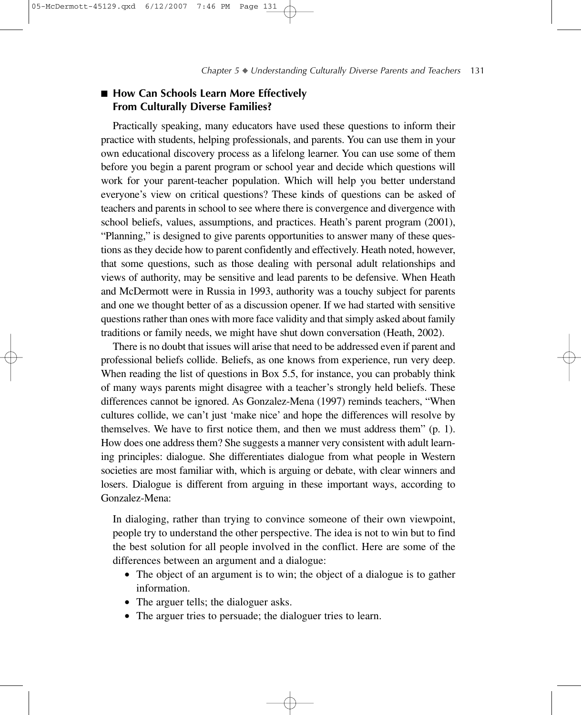## ■ **How Can Schools Learn More Effectively From Culturally Diverse Families?**

Practically speaking, many educators have used these questions to inform their practice with students, helping professionals, and parents. You can use them in your own educational discovery process as a lifelong learner. You can use some of them before you begin a parent program or school year and decide which questions will work for your parent-teacher population. Which will help you better understand everyone's view on critical questions? These kinds of questions can be asked of teachers and parents in school to see where there is convergence and divergence with school beliefs, values, assumptions, and practices. Heath's parent program (2001), "Planning," is designed to give parents opportunities to answer many of these questions as they decide how to parent confidently and effectively. Heath noted, however, that some questions, such as those dealing with personal adult relationships and views of authority, may be sensitive and lead parents to be defensive. When Heath and McDermott were in Russia in 1993, authority was a touchy subject for parents and one we thought better of as a discussion opener. If we had started with sensitive questions rather than ones with more face validity and that simply asked about family traditions or family needs, we might have shut down conversation (Heath, 2002).

There is no doubt that issues will arise that need to be addressed even if parent and professional beliefs collide. Beliefs, as one knows from experience, run very deep. When reading the list of questions in Box 5.5, for instance, you can probably think of many ways parents might disagree with a teacher's strongly held beliefs. These differences cannot be ignored. As Gonzalez-Mena (1997) reminds teachers, "When cultures collide, we can't just 'make nice' and hope the differences will resolve by themselves. We have to first notice them, and then we must address them" (p. 1). How does one address them? She suggests a manner very consistent with adult learning principles: dialogue. She differentiates dialogue from what people in Western societies are most familiar with, which is arguing or debate, with clear winners and losers. Dialogue is different from arguing in these important ways, according to Gonzalez-Mena:

In dialoging, rather than trying to convince someone of their own viewpoint, people try to understand the other perspective. The idea is not to win but to find the best solution for all people involved in the conflict. Here are some of the differences between an argument and a dialogue:

- The object of an argument is to win; the object of a dialogue is to gather information.
- The arguer tells; the dialoguer asks.
- The arguer tries to persuade; the dialoguer tries to learn.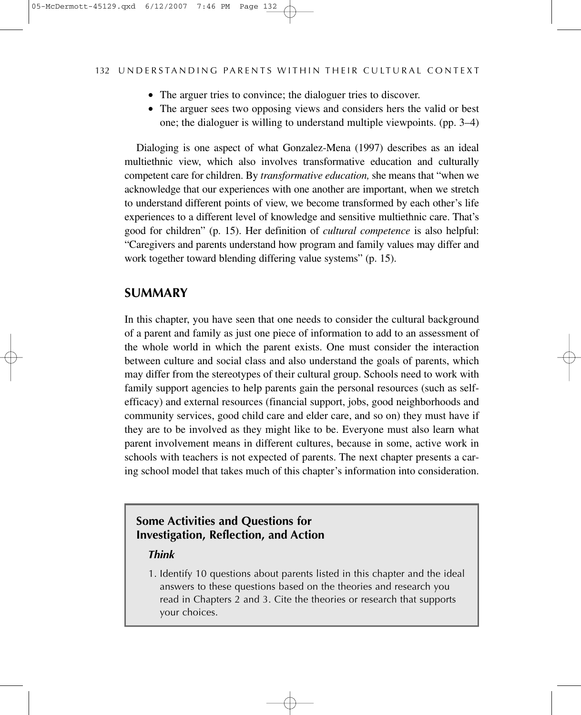- The arguer tries to convince; the dialoguer tries to discover.
- The arguer sees two opposing views and considers hers the valid or best one; the dialoguer is willing to understand multiple viewpoints. (pp. 3–4)

Dialoging is one aspect of what Gonzalez-Mena (1997) describes as an ideal multiethnic view, which also involves transformative education and culturally competent care for children. By *transformative education,* she means that "when we acknowledge that our experiences with one another are important, when we stretch to understand different points of view, we become transformed by each other's life experiences to a different level of knowledge and sensitive multiethnic care. That's good for children" (p. 15). Her definition of *cultural competence* is also helpful: "Caregivers and parents understand how program and family values may differ and work together toward blending differing value systems" (p. 15).

# **SUMMARY**

In this chapter, you have seen that one needs to consider the cultural background of a parent and family as just one piece of information to add to an assessment of the whole world in which the parent exists. One must consider the interaction between culture and social class and also understand the goals of parents, which may differ from the stereotypes of their cultural group. Schools need to work with family support agencies to help parents gain the personal resources (such as selfefficacy) and external resources (financial support, jobs, good neighborhoods and community services, good child care and elder care, and so on) they must have if they are to be involved as they might like to be. Everyone must also learn what parent involvement means in different cultures, because in some, active work in schools with teachers is not expected of parents. The next chapter presents a caring school model that takes much of this chapter's information into consideration.

# **Some Activities and Questions for Investigation, Reflection, and Action**

## *Think*

1. Identify 10 questions about parents listed in this chapter and the ideal answers to these questions based on the theories and research you read in Chapters 2 and 3. Cite the theories or research that supports your choices.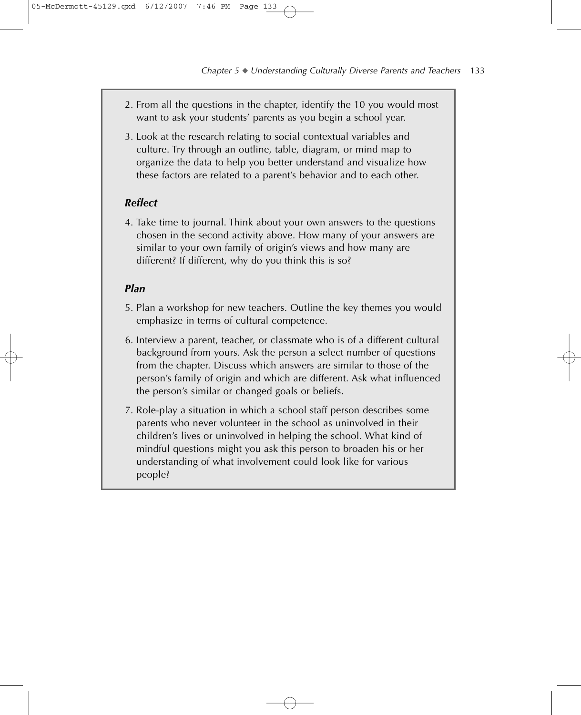- 2. From all the questions in the chapter, identify the 10 you would most want to ask your students' parents as you begin a school year.
- 3. Look at the research relating to social contextual variables and culture. Try through an outline, table, diagram, or mind map to organize the data to help you better understand and visualize how these factors are related to a parent's behavior and to each other.

## *Reflect*

4. Take time to journal. Think about your own answers to the questions chosen in the second activity above. How many of your answers are similar to your own family of origin's views and how many are different? If different, why do you think this is so?

#### *Plan*

- 5. Plan a workshop for new teachers. Outline the key themes you would emphasize in terms of cultural competence.
- 6. Interview a parent, teacher, or classmate who is of a different cultural background from yours. Ask the person a select number of questions from the chapter. Discuss which answers are similar to those of the person's family of origin and which are different. Ask what influenced the person's similar or changed goals or beliefs.
- 7. Role-play a situation in which a school staff person describes some parents who never volunteer in the school as uninvolved in their children's lives or uninvolved in helping the school. What kind of mindful questions might you ask this person to broaden his or her understanding of what involvement could look like for various people?